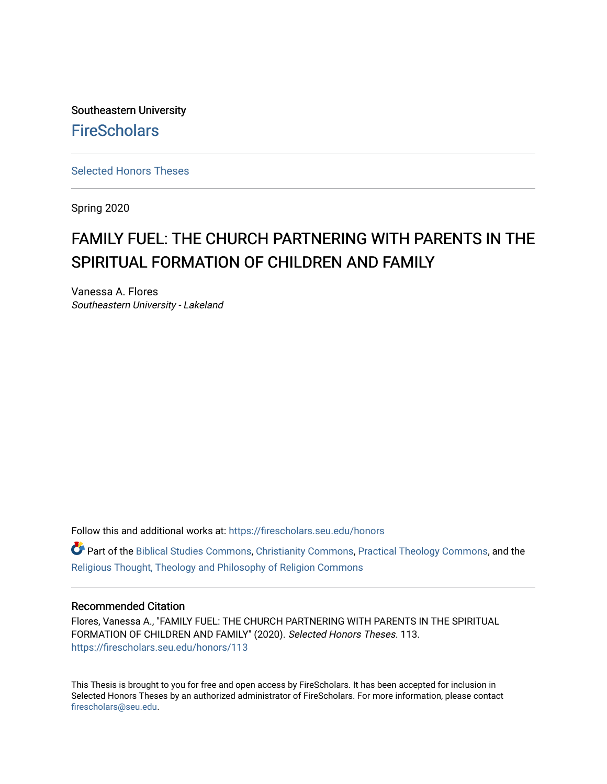Southeastern University **FireScholars** 

[Selected Honors Theses](https://firescholars.seu.edu/honors)

Spring 2020

# FAMILY FUEL: THE CHURCH PARTNERING WITH PARENTS IN THE SPIRITUAL FORMATION OF CHILDREN AND FAMILY

Vanessa A. Flores Southeastern University - Lakeland

Follow this and additional works at: [https://firescholars.seu.edu/honors](https://firescholars.seu.edu/honors?utm_source=firescholars.seu.edu%2Fhonors%2F113&utm_medium=PDF&utm_campaign=PDFCoverPages)

**C** Part of the [Biblical Studies Commons,](http://network.bepress.com/hgg/discipline/539?utm_source=firescholars.seu.edu%2Fhonors%2F113&utm_medium=PDF&utm_campaign=PDFCoverPages) [Christianity Commons,](http://network.bepress.com/hgg/discipline/1181?utm_source=firescholars.seu.edu%2Fhonors%2F113&utm_medium=PDF&utm_campaign=PDFCoverPages) [Practical Theology Commons](http://network.bepress.com/hgg/discipline/1186?utm_source=firescholars.seu.edu%2Fhonors%2F113&utm_medium=PDF&utm_campaign=PDFCoverPages), and the [Religious Thought, Theology and Philosophy of Religion Commons](http://network.bepress.com/hgg/discipline/544?utm_source=firescholars.seu.edu%2Fhonors%2F113&utm_medium=PDF&utm_campaign=PDFCoverPages) 

#### Recommended Citation

Flores, Vanessa A., "FAMILY FUEL: THE CHURCH PARTNERING WITH PARENTS IN THE SPIRITUAL FORMATION OF CHILDREN AND FAMILY" (2020). Selected Honors Theses. 113. [https://firescholars.seu.edu/honors/113](https://firescholars.seu.edu/honors/113?utm_source=firescholars.seu.edu%2Fhonors%2F113&utm_medium=PDF&utm_campaign=PDFCoverPages)

This Thesis is brought to you for free and open access by FireScholars. It has been accepted for inclusion in Selected Honors Theses by an authorized administrator of FireScholars. For more information, please contact [firescholars@seu.edu.](mailto:firescholars@seu.edu)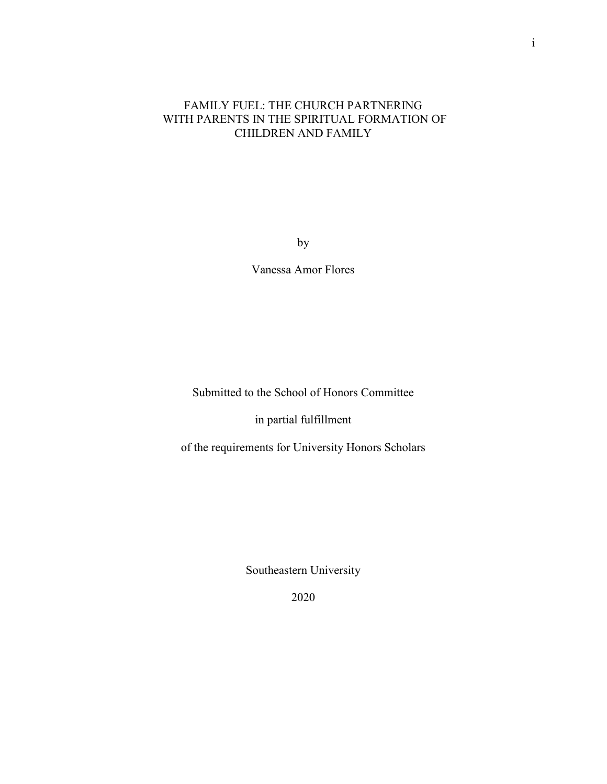#### FAMILY FUEL: THE CHURCH PARTNERING WITH PARENTS IN THE SPIRITUAL FORMATION OF CHILDREN AND FAMILY

by

Vanessa Amor Flores

Submitted to the School of Honors Committee

in partial fulfillment

of the requirements for University Honors Scholars

Southeastern University

2020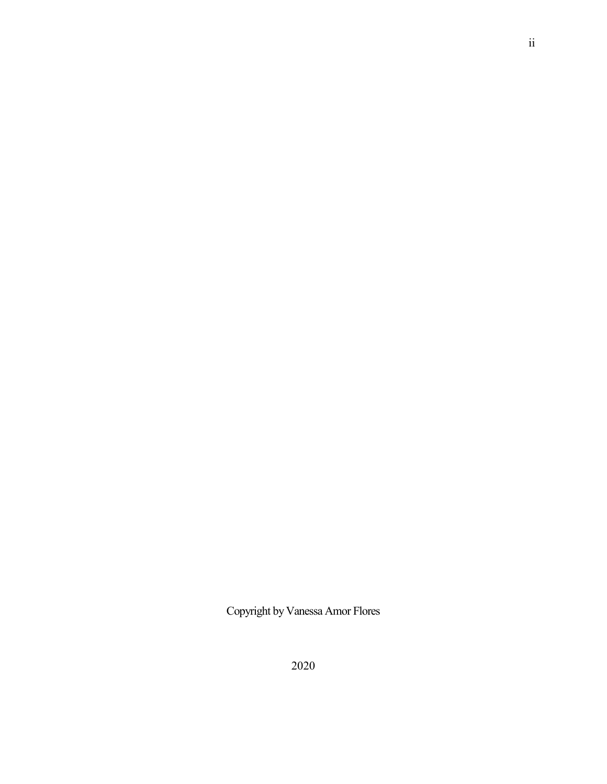Copyright by Vanessa Amor Flores

ii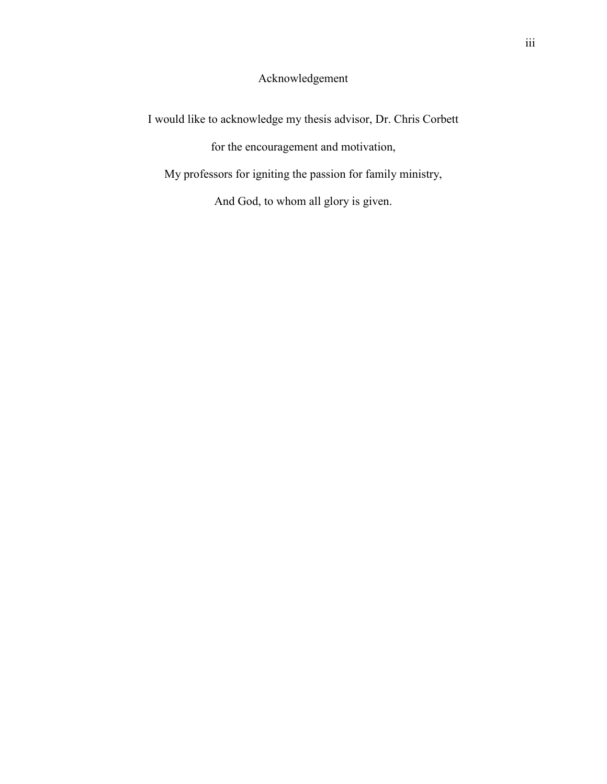## Acknowledgement

I would like to acknowledge my thesis advisor, Dr. Chris Corbett for the encouragement and motivation, My professors for igniting the passion for family ministry, And God, to whom all glory is given.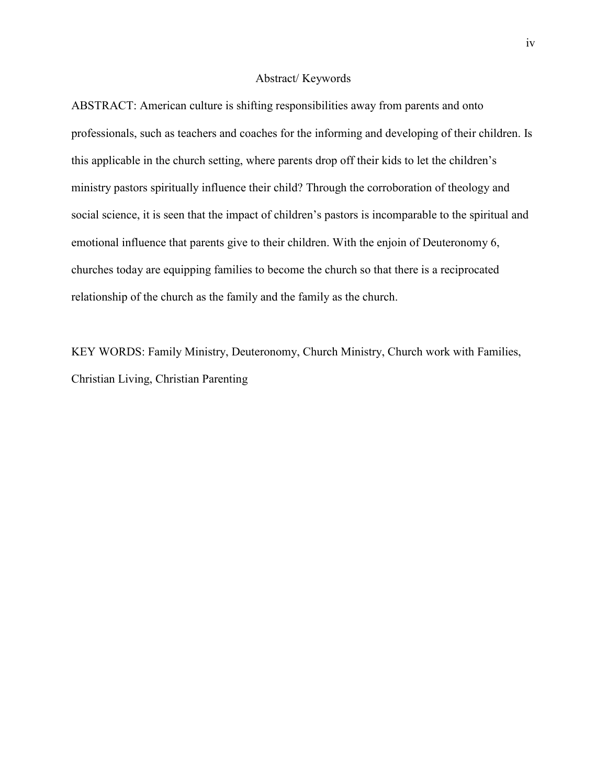#### Abstract/ Keywords

ABSTRACT: American culture is shifting responsibilities away from parents and onto professionals, such as teachers and coaches for the informing and developing of their children. Is this applicable in the church setting, where parents drop off their kids to let the children's ministry pastors spiritually influence their child? Through the corroboration of theology and social science, it is seen that the impact of children's pastors is incomparable to the spiritual and emotional influence that parents give to their children. With the enjoin of Deuteronomy 6, churches today are equipping families to become the church so that there is a reciprocated relationship of the church as the family and the family as the church.

KEY WORDS: Family Ministry, Deuteronomy, Church Ministry, Church work with Families, Christian Living, Christian Parenting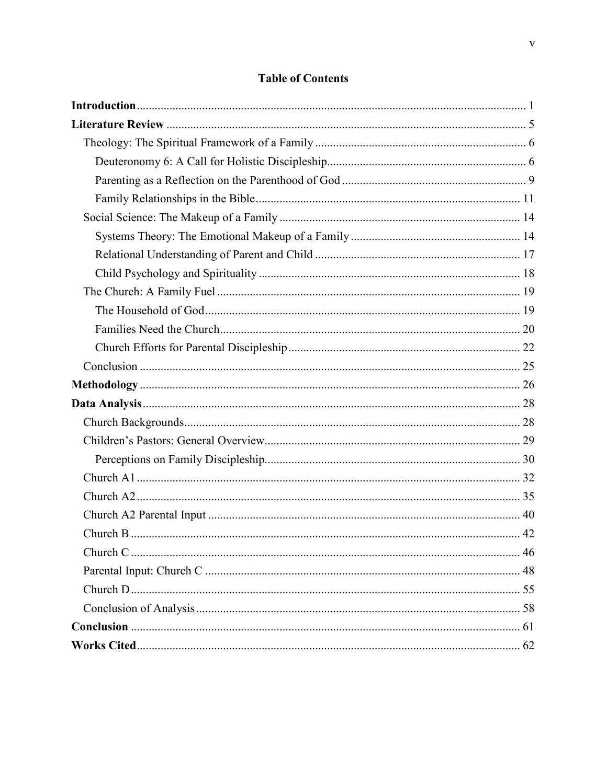### **Table of Contents**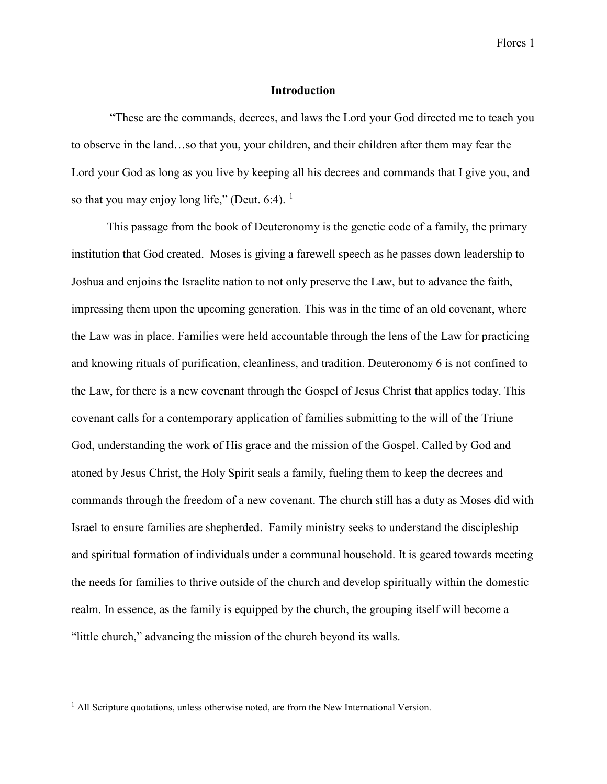Flores 1

#### **Introduction**

<span id="page-6-0"></span>"These are the commands, decrees, and laws the Lord your God directed me to teach you to observe in the land…so that you, your children, and their children after them may fear the Lord your God as long as you live by keeping all his decrees and commands that I give you, and so that you may enjoy long life," (Deut. 6:4).  $<sup>1</sup>$  $<sup>1</sup>$  $<sup>1</sup>$ </sup>

This passage from the book of Deuteronomy is the genetic code of a family, the primary institution that God created. Moses is giving a farewell speech as he passes down leadership to Joshua and enjoins the Israelite nation to not only preserve the Law, but to advance the faith, impressing them upon the upcoming generation. This was in the time of an old covenant, where the Law was in place. Families were held accountable through the lens of the Law for practicing and knowing rituals of purification, cleanliness, and tradition. Deuteronomy 6 is not confined to the Law, for there is a new covenant through the Gospel of Jesus Christ that applies today. This covenant calls for a contemporary application of families submitting to the will of the Triune God, understanding the work of His grace and the mission of the Gospel. Called by God and atoned by Jesus Christ, the Holy Spirit seals a family, fueling them to keep the decrees and commands through the freedom of a new covenant. The church still has a duty as Moses did with Israel to ensure families are shepherded. Family ministry seeks to understand the discipleship and spiritual formation of individuals under a communal household. It is geared towards meeting the needs for families to thrive outside of the church and develop spiritually within the domestic realm. In essence, as the family is equipped by the church, the grouping itself will become a "little church," advancing the mission of the church beyond its walls.

<span id="page-6-1"></span><sup>&</sup>lt;sup>1</sup> All Scripture quotations, unless otherwise noted, are from the New International Version.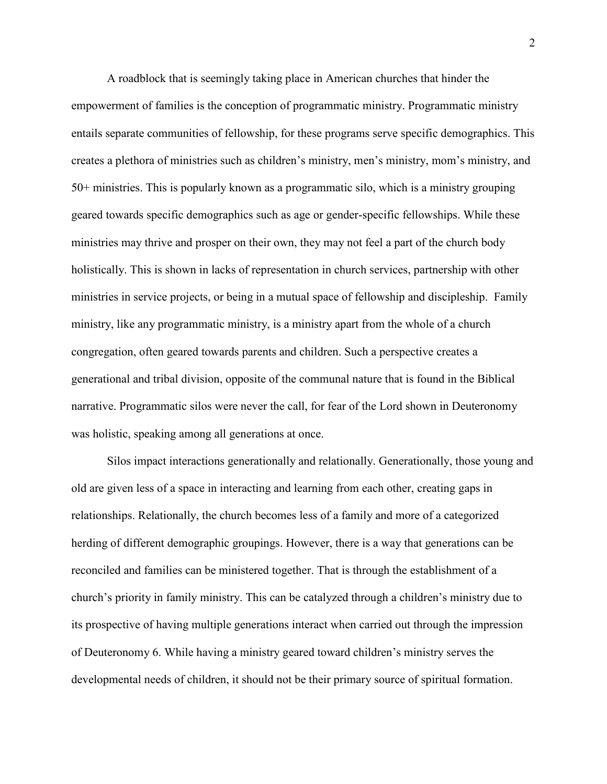A roadblock that is seemingly taking place in American churches that hinder the empowerment of families is the conception of programmatic ministry. Programmatic ministry entails separate communities of fellowship, for these programs serve specific demographics. This creates a plethora of ministries such as children's ministry, men's ministry, mom's ministry, and 50+ ministries. This is popularly known as a programmatic silo, which is a ministry grouping geared towards specific demographics such as age or gender-specific fellowships. While these ministries may thrive and prosper on their own, they may not feel a part of the church body holistically. This is shown in lacks of representation in church services, partnership with other ministries in service projects, or being in a mutual space of fellowship and discipleship. Family ministry, like any programmatic ministry, is a ministry apart from the whole of a church congregation, often geared towards parents and children. Such a perspective creates a generational and tribal division, opposite of the communal nature that is found in the Biblical narrative. Programmatic silos were never the call, for fear of the Lord shown in Deuteronomy was holistic, speaking among all generations at once.

Silos impact interactions generationally and relationally. Generationally, those young and old are given less of a space in interacting and learning from each other, creating gaps in relationships. Relationally, the church becomes less of a family and more of a categorized herding of different demographic groupings. However, there is a way that generations can be reconciled and families can be ministered together. That is through the establishment of a church's priority in family ministry. This can be catalyzed through a children's ministry due to its prospective of having multiple generations interact when carried out through the impression of Deuteronomy 6. While having a ministry geared toward children's ministry serves the developmental needs of children, it should not be their primary source of spiritual formation.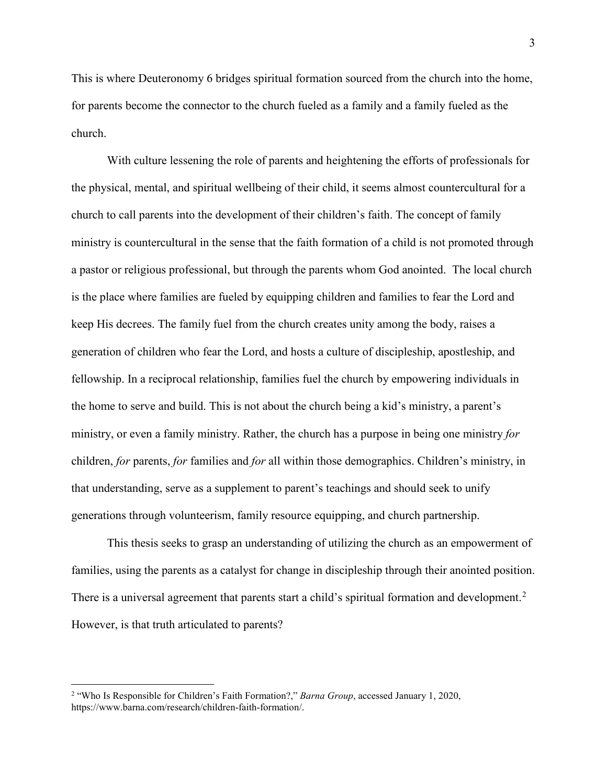This is where Deuteronomy 6 bridges spiritual formation sourced from the church into the home, for parents become the connector to the church fueled as a family and a family fueled as the church.

With culture lessening the role of parents and heightening the efforts of professionals for the physical, mental, and spiritual wellbeing of their child, it seems almost countercultural for a church to call parents into the development of their children's faith. The concept of family ministry is countercultural in the sense that the faith formation of a child is not promoted through a pastor or religious professional, but through the parents whom God anointed. The local church is the place where families are fueled by equipping children and families to fear the Lord and keep His decrees. The family fuel from the church creates unity among the body, raises a generation of children who fear the Lord, and hosts a culture of discipleship, apostleship, and fellowship. In a reciprocal relationship, families fuel the church by empowering individuals in the home to serve and build. This is not about the church being a kid's ministry, a parent's ministry, or even a family ministry. Rather, the church has a purpose in being one ministry *for*  children, *for* parents, *for* families and *for* all within those demographics. Children's ministry, in that understanding, serve as a supplement to parent's teachings and should seek to unify generations through volunteerism, family resource equipping, and church partnership.

This thesis seeks to grasp an understanding of utilizing the church as an empowerment of families, using the parents as a catalyst for change in discipleship through their anointed position. There is a universal agreement that parents start a child's spiritual formation and development.<sup>[2](#page-8-0)</sup> However, is that truth articulated to parents?

<span id="page-8-0"></span> <sup>2</sup> "Who Is Responsible for Children's Faith Formation?," *Barna Group*, accessed January 1, 2020, https://www.barna.com/research/children-faith-formation/.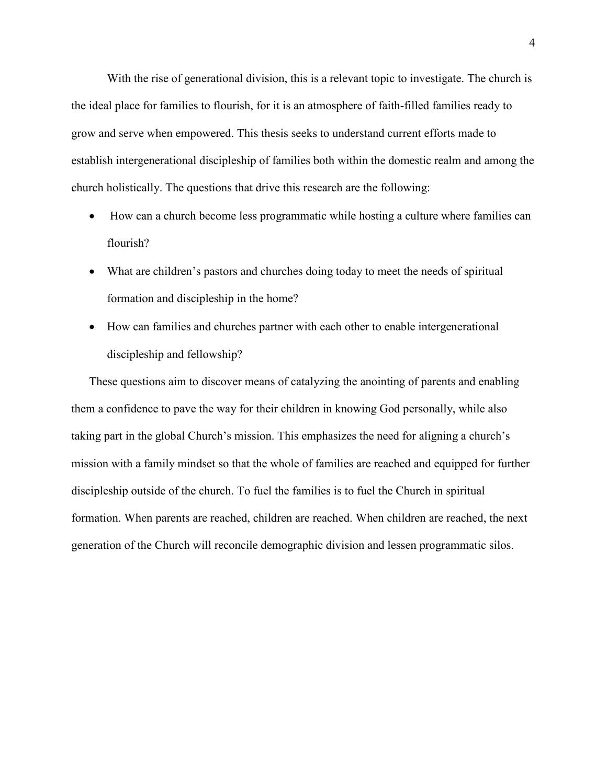With the rise of generational division, this is a relevant topic to investigate. The church is the ideal place for families to flourish, for it is an atmosphere of faith-filled families ready to grow and serve when empowered. This thesis seeks to understand current efforts made to establish intergenerational discipleship of families both within the domestic realm and among the church holistically. The questions that drive this research are the following:

- How can a church become less programmatic while hosting a culture where families can flourish?
- What are children's pastors and churches doing today to meet the needs of spiritual formation and discipleship in the home?
- How can families and churches partner with each other to enable intergenerational discipleship and fellowship?

These questions aim to discover means of catalyzing the anointing of parents and enabling them a confidence to pave the way for their children in knowing God personally, while also taking part in the global Church's mission. This emphasizes the need for aligning a church's mission with a family mindset so that the whole of families are reached and equipped for further discipleship outside of the church. To fuel the families is to fuel the Church in spiritual formation. When parents are reached, children are reached. When children are reached, the next generation of the Church will reconcile demographic division and lessen programmatic silos.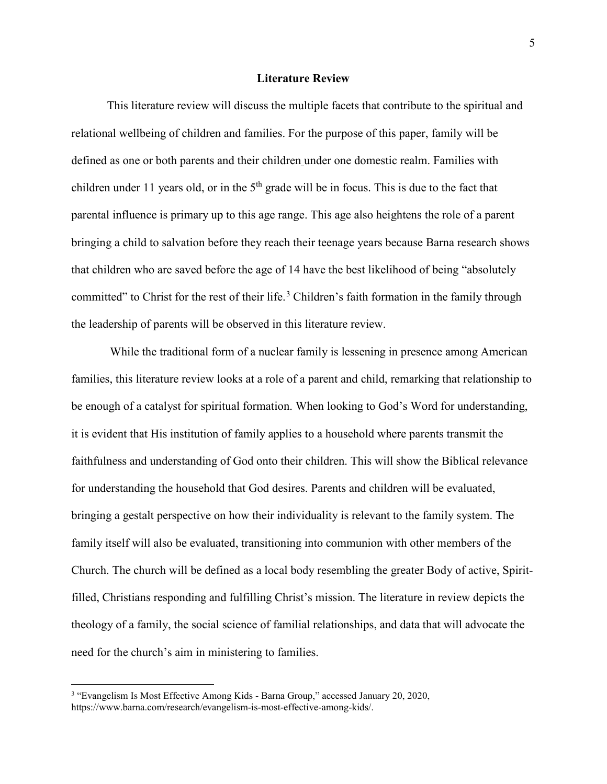#### **Literature Review**

<span id="page-10-0"></span>This literature review will discuss the multiple facets that contribute to the spiritual and relational wellbeing of children and families. For the purpose of this paper, family will be defined as one or both parents and their children under one domestic realm. Families with children under 11 years old, or in the  $5<sup>th</sup>$  grade will be in focus. This is due to the fact that parental influence is primary up to this age range. This age also heightens the role of a parent bringing a child to salvation before they reach their teenage years because Barna research shows that children who are saved before the age of 14 have the best likelihood of being "absolutely committed" to Christ for the rest of their life.<sup>[3](#page-10-1)</sup> Children's faith formation in the family through the leadership of parents will be observed in this literature review.

While the traditional form of a nuclear family is lessening in presence among American families, this literature review looks at a role of a parent and child, remarking that relationship to be enough of a catalyst for spiritual formation. When looking to God's Word for understanding, it is evident that His institution of family applies to a household where parents transmit the faithfulness and understanding of God onto their children. This will show the Biblical relevance for understanding the household that God desires. Parents and children will be evaluated, bringing a gestalt perspective on how their individuality is relevant to the family system. The family itself will also be evaluated, transitioning into communion with other members of the Church. The church will be defined as a local body resembling the greater Body of active, Spiritfilled, Christians responding and fulfilling Christ's mission. The literature in review depicts the theology of a family, the social science of familial relationships, and data that will advocate the need for the church's aim in ministering to families.

<span id="page-10-1"></span> <sup>3</sup> "Evangelism Is Most Effective Among Kids - Barna Group," accessed January 20, 2020, https://www.barna.com/research/evangelism-is-most-effective-among-kids/.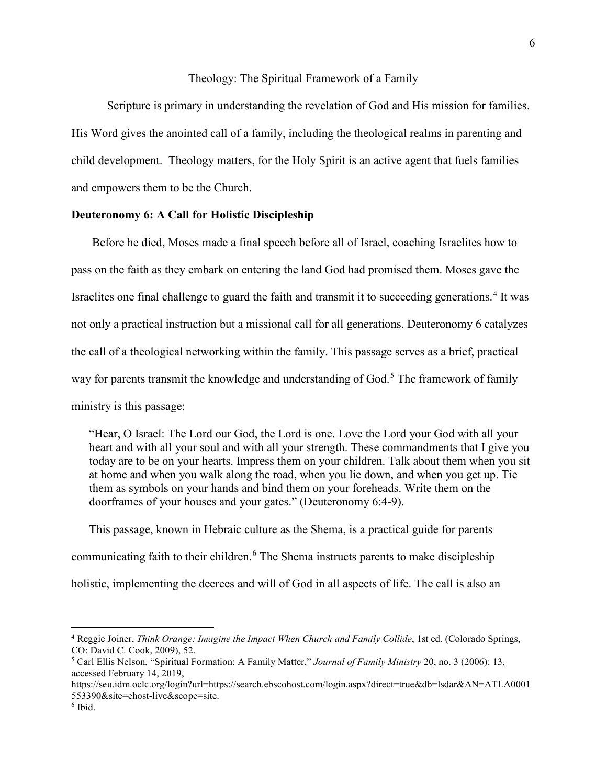#### Theology: The Spiritual Framework of a Family

<span id="page-11-0"></span>Scripture is primary in understanding the revelation of God and His mission for families. His Word gives the anointed call of a family, including the theological realms in parenting and child development. Theology matters, for the Holy Spirit is an active agent that fuels families and empowers them to be the Church.

#### <span id="page-11-1"></span>**Deuteronomy 6: A Call for Holistic Discipleship**

Before he died, Moses made a final speech before all of Israel, coaching Israelites how to pass on the faith as they embark on entering the land God had promised them. Moses gave the Israelites one final challenge to guard the faith and transmit it to succeeding generations.<sup>[4](#page-11-2)</sup> It was not only a practical instruction but a missional call for all generations. Deuteronomy 6 catalyzes the call of a theological networking within the family. This passage serves as a brief, practical way for parents transmit the knowledge and understanding of God.<sup>[5](#page-11-3)</sup> The framework of family ministry is this passage:

"Hear, O Israel: The Lord our God, the Lord is one. Love the Lord your God with all your heart and with all your soul and with all your strength. These commandments that I give you today are to be on your hearts. Impress them on your children. Talk about them when you sit at home and when you walk along the road, when you lie down, and when you get up. Tie them as symbols on your hands and bind them on your foreheads. Write them on the doorframes of your houses and your gates." (Deuteronomy 6:4-9).

This passage, known in Hebraic culture as the Shema, is a practical guide for parents communicating faith to their children.<sup>[6](#page-11-4)</sup> The Shema instructs parents to make discipleship holistic, implementing the decrees and will of God in all aspects of life. The call is also an

<span id="page-11-2"></span> <sup>4</sup> Reggie Joiner, *Think Orange: Imagine the Impact When Church and Family Collide*, 1st ed. (Colorado Springs, CO: David C. Cook, 2009), 52.

<span id="page-11-3"></span><sup>5</sup> Carl Ellis Nelson, "Spiritual Formation: A Family Matter," *Journal of Family Ministry* 20, no. 3 (2006): 13, accessed February 14, 2019,

https://seu.idm.oclc.org/login?url=https://search.ebscohost.com/login.aspx?direct=true&db=lsdar&AN=ATLA0001 553390&site=ehost-live&scope=site.

<span id="page-11-4"></span> $6$  Ibid.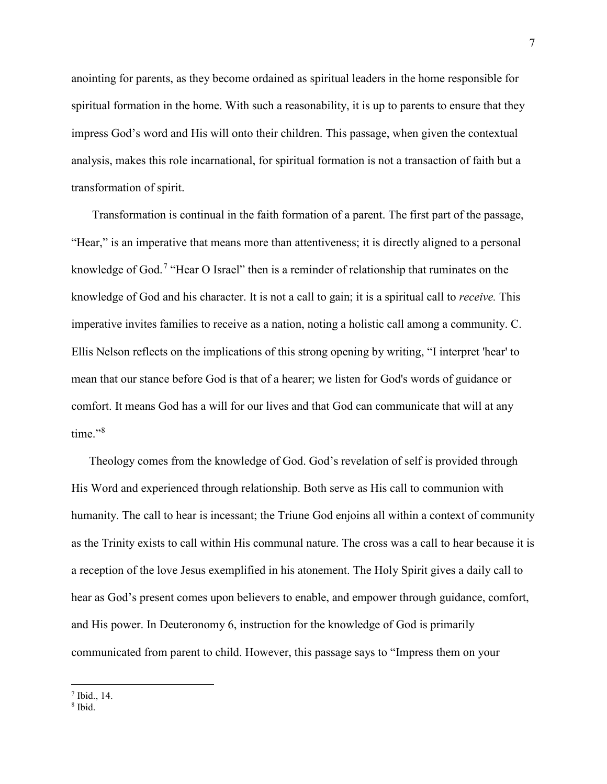anointing for parents, as they become ordained as spiritual leaders in the home responsible for spiritual formation in the home. With such a reasonability, it is up to parents to ensure that they impress God's word and His will onto their children. This passage, when given the contextual analysis, makes this role incarnational, for spiritual formation is not a transaction of faith but a transformation of spirit.

Transformation is continual in the faith formation of a parent. The first part of the passage, "Hear," is an imperative that means more than attentiveness; it is directly aligned to a personal knowledge of God.<sup>[7](#page-12-0)</sup> "Hear O Israel" then is a reminder of relationship that ruminates on the knowledge of God and his character. It is not a call to gain; it is a spiritual call to *receive.* This imperative invites families to receive as a nation, noting a holistic call among a community. C. Ellis Nelson reflects on the implications of this strong opening by writing, "I interpret 'hear' to mean that our stance before God is that of a hearer; we listen for God's words of guidance or comfort. It means God has a will for our lives and that God can communicate that will at any time."<sup>[8](#page-12-1)</sup>

Theology comes from the knowledge of God. God's revelation of self is provided through His Word and experienced through relationship. Both serve as His call to communion with humanity. The call to hear is incessant; the Triune God enjoins all within a context of community as the Trinity exists to call within His communal nature. The cross was a call to hear because it is a reception of the love Jesus exemplified in his atonement. The Holy Spirit gives a daily call to hear as God's present comes upon believers to enable, and empower through guidance, comfort, and His power. In Deuteronomy 6, instruction for the knowledge of God is primarily communicated from parent to child. However, this passage says to "Impress them on your

<span id="page-12-0"></span> $<sup>7</sup>$  Ibid., 14.</sup>

<span id="page-12-1"></span><sup>8</sup> Ibid.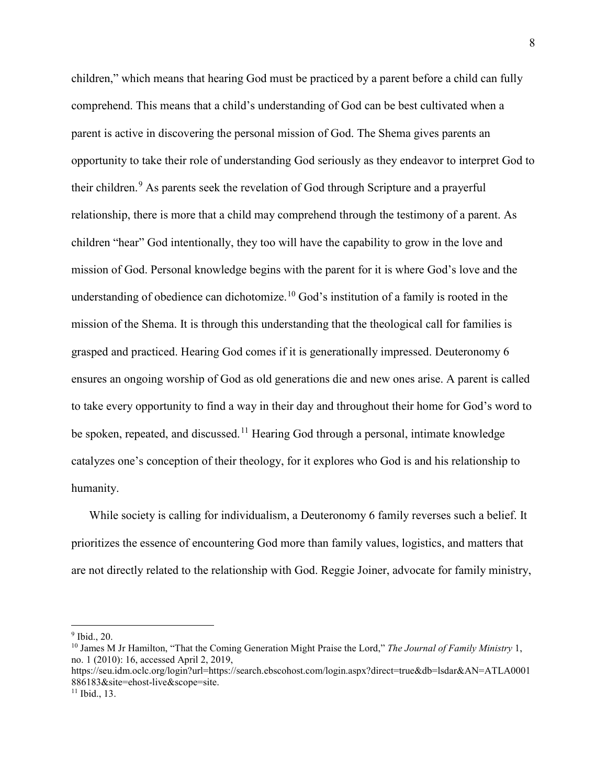children," which means that hearing God must be practiced by a parent before a child can fully comprehend. This means that a child's understanding of God can be best cultivated when a parent is active in discovering the personal mission of God. The Shema gives parents an opportunity to take their role of understanding God seriously as they endeavor to interpret God to their children.<sup>[9](#page-13-0)</sup> As parents seek the revelation of God through Scripture and a prayerful relationship, there is more that a child may comprehend through the testimony of a parent. As children "hear" God intentionally, they too will have the capability to grow in the love and mission of God. Personal knowledge begins with the parent for it is where God's love and the understanding of obedience can dichotomize.<sup>[10](#page-13-1)</sup> God's institution of a family is rooted in the mission of the Shema. It is through this understanding that the theological call for families is grasped and practiced. Hearing God comes if it is generationally impressed. Deuteronomy 6 ensures an ongoing worship of God as old generations die and new ones arise. A parent is called to take every opportunity to find a way in their day and throughout their home for God's word to be spoken, repeated, and discussed.<sup>[11](#page-13-2)</sup> Hearing God through a personal, intimate knowledge catalyzes one's conception of their theology, for it explores who God is and his relationship to humanity.

While society is calling for individualism, a Deuteronomy 6 family reverses such a belief. It prioritizes the essence of encountering God more than family values, logistics, and matters that are not directly related to the relationship with God. Reggie Joiner, advocate for family ministry,

<span id="page-13-0"></span> <sup>9</sup> Ibid., 20.

<span id="page-13-1"></span><sup>10</sup> James M Jr Hamilton, "That the Coming Generation Might Praise the Lord," *The Journal of Family Ministry* 1, no. 1 (2010): 16, accessed April 2, 2019,

https://seu.idm.oclc.org/login?url=https://search.ebscohost.com/login.aspx?direct=true&db=lsdar&AN=ATLA0001 886183&site=ehost-live&scope=site.

<span id="page-13-2"></span><sup>&</sup>lt;sup>11</sup> Ibid., 13.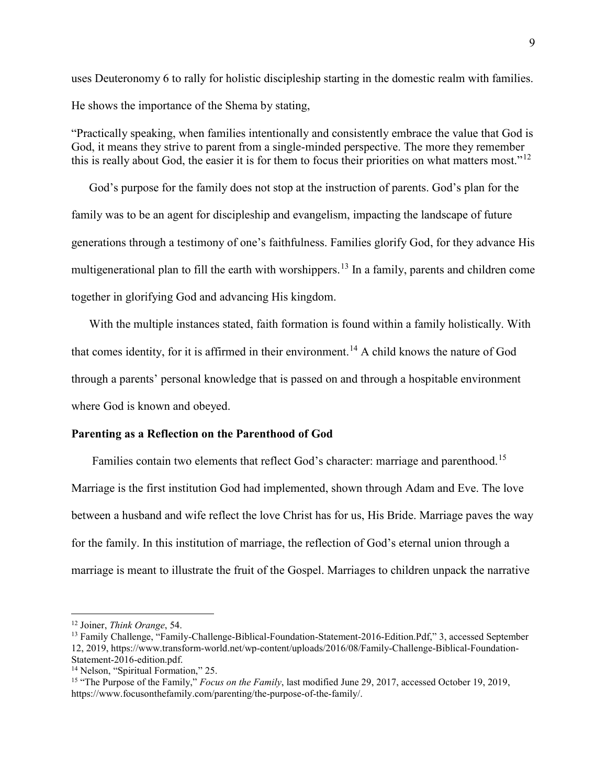uses Deuteronomy 6 to rally for holistic discipleship starting in the domestic realm with families. He shows the importance of the Shema by stating,

"Practically speaking, when families intentionally and consistently embrace the value that God is God, it means they strive to parent from a single-minded perspective. The more they remember this is really about God, the easier it is for them to focus their priorities on what matters most."<sup>[12](#page-14-1)</sup>

God's purpose for the family does not stop at the instruction of parents. God's plan for the family was to be an agent for discipleship and evangelism, impacting the landscape of future generations through a testimony of one's faithfulness. Families glorify God, for they advance His multigenerational plan to fill the earth with worshippers.<sup>[13](#page-14-2)</sup> In a family, parents and children come together in glorifying God and advancing His kingdom.

With the multiple instances stated, faith formation is found within a family holistically. With that comes identity, for it is affirmed in their environment.[14](#page-14-3) A child knows the nature of God through a parents' personal knowledge that is passed on and through a hospitable environment where God is known and obeyed.

#### <span id="page-14-0"></span>**Parenting as a Reflection on the Parenthood of God**

Families contain two elements that reflect God's character: marriage and parenthood.<sup>[15](#page-14-4)</sup> Marriage is the first institution God had implemented, shown through Adam and Eve. The love between a husband and wife reflect the love Christ has for us, His Bride. Marriage paves the way for the family. In this institution of marriage, the reflection of God's eternal union through a marriage is meant to illustrate the fruit of the Gospel. Marriages to children unpack the narrative

<span id="page-14-1"></span> <sup>12</sup> Joiner, *Think Orange*, 54.

<span id="page-14-2"></span><sup>&</sup>lt;sup>13</sup> Family Challenge, "Family-Challenge-Biblical-Foundation-Statement-2016-Edition.Pdf," 3, accessed September 12, 2019, https://www.transform-world.net/wp-content/uploads/2016/08/Family-Challenge-Biblical-Foundation-Statement-2016-edition.pdf.

<span id="page-14-3"></span><sup>&</sup>lt;sup>14</sup> Nelson, "Spiritual Formation," 25.

<span id="page-14-4"></span><sup>15</sup> "The Purpose of the Family," *Focus on the Family*, last modified June 29, 2017, accessed October 19, 2019, https://www.focusonthefamily.com/parenting/the-purpose-of-the-family/.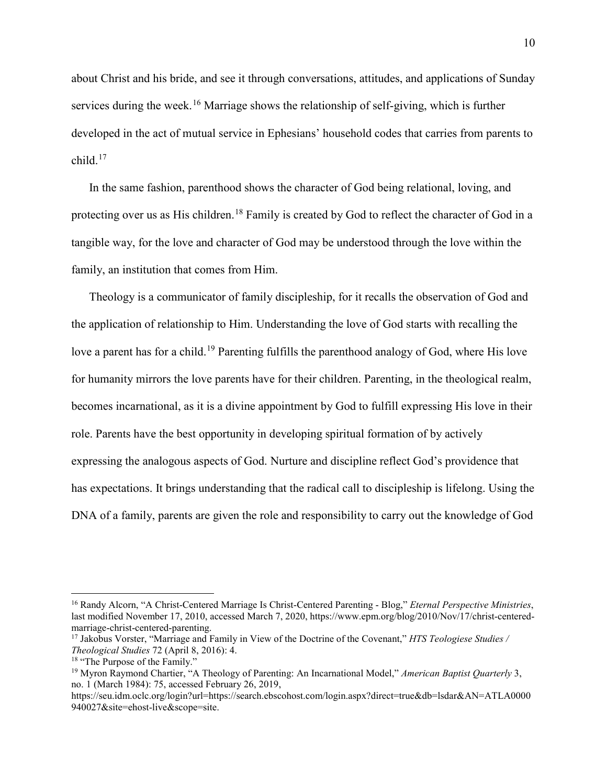about Christ and his bride, and see it through conversations, attitudes, and applications of Sunday services during the week.<sup>[16](#page-15-0)</sup> Marriage shows the relationship of self-giving, which is further developed in the act of mutual service in Ephesians' household codes that carries from parents to  $child<sup>17</sup>$  $child<sup>17</sup>$  $child<sup>17</sup>$ 

In the same fashion, parenthood shows the character of God being relational, loving, and protecting over us as His children.<sup>[18](#page-15-2)</sup> Family is created by God to reflect the character of God in a tangible way, for the love and character of God may be understood through the love within the family, an institution that comes from Him.

Theology is a communicator of family discipleship, for it recalls the observation of God and the application of relationship to Him. Understanding the love of God starts with recalling the love a parent has for a child.<sup>[19](#page-15-3)</sup> Parenting fulfills the parenthood analogy of God, where His love for humanity mirrors the love parents have for their children. Parenting, in the theological realm, becomes incarnational, as it is a divine appointment by God to fulfill expressing His love in their role. Parents have the best opportunity in developing spiritual formation of by actively expressing the analogous aspects of God. Nurture and discipline reflect God's providence that has expectations. It brings understanding that the radical call to discipleship is lifelong. Using the DNA of a family, parents are given the role and responsibility to carry out the knowledge of God

<span id="page-15-0"></span> <sup>16</sup> Randy Alcorn, "A Christ-Centered Marriage Is Christ-Centered Parenting - Blog," *Eternal Perspective Ministries*, last modified November 17, 2010, accessed March 7, 2020, https://www.epm.org/blog/2010/Nov/17/christ-centeredmarriage-christ-centered-parenting.

<span id="page-15-1"></span><sup>17</sup> Jakobus Vorster, "Marriage and Family in View of the Doctrine of the Covenant," *HTS Teologiese Studies / Theological Studies* 72 (April 8, 2016): 4.

<span id="page-15-2"></span><sup>&</sup>lt;sup>18</sup> "The Purpose of the Family."

<span id="page-15-3"></span><sup>19</sup> Myron Raymond Chartier, "A Theology of Parenting: An Incarnational Model," *American Baptist Quarterly* 3, no. 1 (March 1984): 75, accessed February 26, 2019,

https://seu.idm.oclc.org/login?url=https://search.ebscohost.com/login.aspx?direct=true&db=lsdar&AN=ATLA0000 940027&site=ehost-live&scope=site.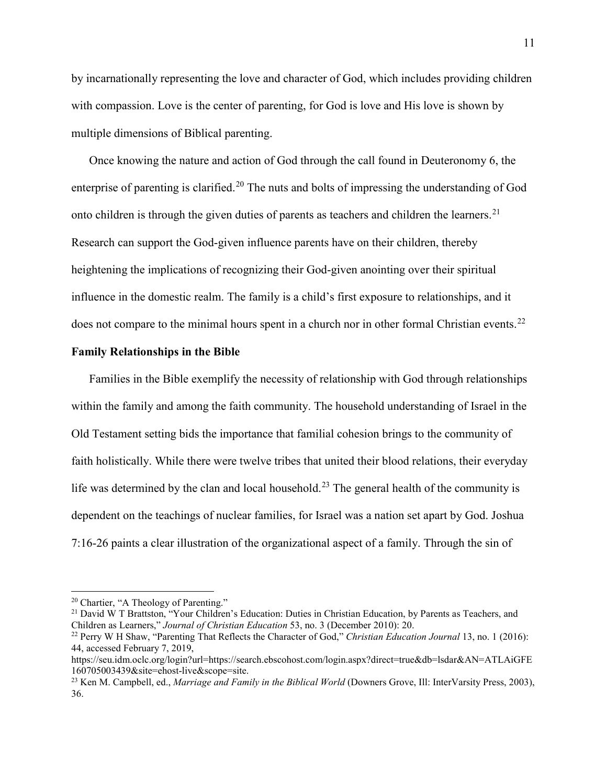by incarnationally representing the love and character of God, which includes providing children with compassion. Love is the center of parenting, for God is love and His love is shown by multiple dimensions of Biblical parenting.

Once knowing the nature and action of God through the call found in Deuteronomy 6, the enterprise of parenting is clarified.<sup>[20](#page-16-1)</sup> The nuts and bolts of impressing the understanding of God onto children is through the given duties of parents as teachers and children the learners.<sup>[21](#page-16-2)</sup> Research can support the God-given influence parents have on their children, thereby heightening the implications of recognizing their God-given anointing over their spiritual influence in the domestic realm. The family is a child's first exposure to relationships, and it does not compare to the minimal hours spent in a church nor in other formal Christian events.<sup>[22](#page-16-3)</sup>

#### <span id="page-16-0"></span>**Family Relationships in the Bible**

Families in the Bible exemplify the necessity of relationship with God through relationships within the family and among the faith community. The household understanding of Israel in the Old Testament setting bids the importance that familial cohesion brings to the community of faith holistically. While there were twelve tribes that united their blood relations, their everyday life was determined by the clan and local household.<sup>[23](#page-16-4)</sup> The general health of the community is dependent on the teachings of nuclear families, for Israel was a nation set apart by God. Joshua 7:16-26 paints a clear illustration of the organizational aspect of a family. Through the sin of

<span id="page-16-1"></span> <sup>20</sup> Chartier, "A Theology of Parenting."

<span id="page-16-2"></span><sup>&</sup>lt;sup>21</sup> David W T Brattston, "Your Children's Education: Duties in Christian Education, by Parents as Teachers, and Children as Learners," *Journal of Christian Education* 53, no. 3 (December 2010): 20.

<span id="page-16-3"></span><sup>22</sup> Perry W H Shaw, "Parenting That Reflects the Character of God," *Christian Education Journal* 13, no. 1 (2016): 44, accessed February 7, 2019,

https://seu.idm.oclc.org/login?url=https://search.ebscohost.com/login.aspx?direct=true&db=lsdar&AN=ATLAiGFE 160705003439&site=ehost-live&scope=site.

<span id="page-16-4"></span><sup>23</sup> Ken M. Campbell, ed., *Marriage and Family in the Biblical World* (Downers Grove, Ill: InterVarsity Press, 2003), 36.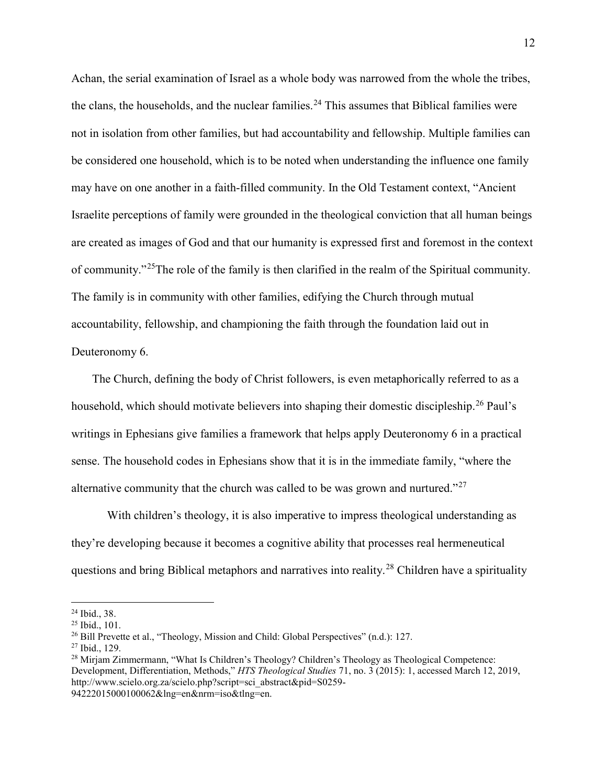Achan, the serial examination of Israel as a whole body was narrowed from the whole the tribes, the clans, the households, and the nuclear families.<sup>[24](#page-17-0)</sup> This assumes that Biblical families were not in isolation from other families, but had accountability and fellowship. Multiple families can be considered one household, which is to be noted when understanding the influence one family may have on one another in a faith-filled community. In the Old Testament context, "Ancient Israelite perceptions of family were grounded in the theological conviction that all human beings are created as images of God and that our humanity is expressed first and foremost in the context of community."[25T](#page-17-1)he role of the family is then clarified in the realm of the Spiritual community. The family is in community with other families, edifying the Church through mutual accountability, fellowship, and championing the faith through the foundation laid out in Deuteronomy 6.

The Church, defining the body of Christ followers, is even metaphorically referred to as a household, which should motivate believers into shaping their domestic discipleship.<sup>[26](#page-17-2)</sup> Paul's writings in Ephesians give families a framework that helps apply Deuteronomy 6 in a practical sense. The household codes in Ephesians show that it is in the immediate family, "where the alternative community that the church was called to be was grown and nurtured."<sup>[27](#page-17-3)</sup>

With children's theology, it is also imperative to impress theological understanding as they're developing because it becomes a cognitive ability that processes real hermeneutical questions and bring Biblical metaphors and narratives into reality.[28](#page-17-4) Children have a spirituality

<span id="page-17-3"></span><sup>27</sup> Ibid., 129.

94222015000100062&lng=en&nrm=iso&tlng=en.

<span id="page-17-0"></span> <sup>24</sup> Ibid., 38.

<span id="page-17-1"></span><sup>25</sup> Ibid., 101.

<span id="page-17-2"></span><sup>&</sup>lt;sup>26</sup> Bill Prevette et al., "Theology, Mission and Child: Global Perspectives" (n.d.): 127.

<span id="page-17-4"></span><sup>&</sup>lt;sup>28</sup> Mirjam Zimmermann, "What Is Children's Theology? Children's Theology as Theological Competence: Development, Differentiation, Methods," *HTS Theological Studies* 71, no. 3 (2015): 1, accessed March 12, 2019, http://www.scielo.org.za/scielo.php?script=sci\_abstract&pid=S0259-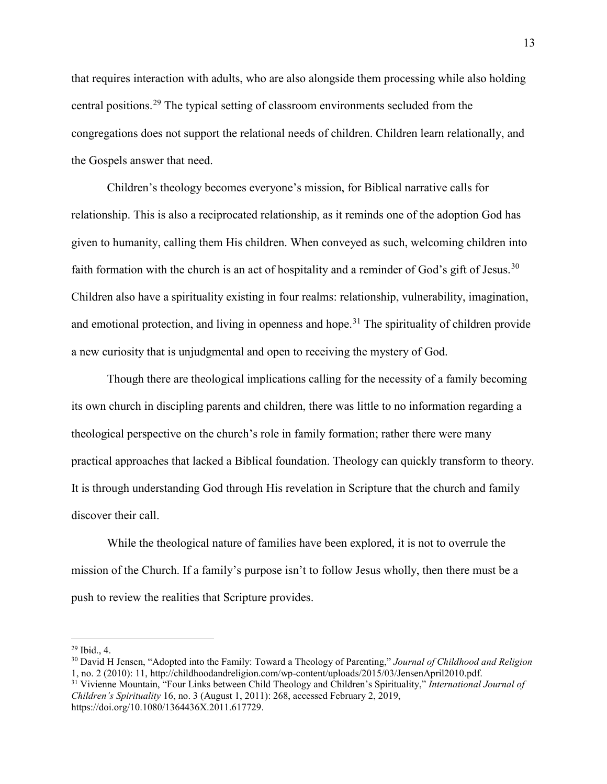that requires interaction with adults, who are also alongside them processing while also holding central positions.[29](#page-18-0) The typical setting of classroom environments secluded from the congregations does not support the relational needs of children. Children learn relationally, and the Gospels answer that need.

Children's theology becomes everyone's mission, for Biblical narrative calls for relationship. This is also a reciprocated relationship, as it reminds one of the adoption God has given to humanity, calling them His children. When conveyed as such, welcoming children into faith formation with the church is an act of hospitality and a reminder of God's gift of Jesus.<sup>[30](#page-18-1)</sup> Children also have a spirituality existing in four realms: relationship, vulnerability, imagination, and emotional protection, and living in openness and hope.<sup>[31](#page-18-2)</sup> The spirituality of children provide a new curiosity that is unjudgmental and open to receiving the mystery of God.

Though there are theological implications calling for the necessity of a family becoming its own church in discipling parents and children, there was little to no information regarding a theological perspective on the church's role in family formation; rather there were many practical approaches that lacked a Biblical foundation. Theology can quickly transform to theory. It is through understanding God through His revelation in Scripture that the church and family discover their call.

While the theological nature of families have been explored, it is not to overrule the mission of the Church. If a family's purpose isn't to follow Jesus wholly, then there must be a push to review the realities that Scripture provides.

<span id="page-18-0"></span> $29$  Ibid., 4.

<span id="page-18-1"></span><sup>30</sup> David H Jensen, "Adopted into the Family: Toward a Theology of Parenting," *Journal of Childhood and Religion* 1, no. 2 (2010): 11, http://childhoodandreligion.com/wp-content/uploads/2015/03/JensenApril2010.pdf.

<span id="page-18-2"></span><sup>31</sup> Vivienne Mountain, "Four Links between Child Theology and Children's Spirituality," *International Journal of Children's Spirituality* 16, no. 3 (August 1, 2011): 268, accessed February 2, 2019, https://doi.org/10.1080/1364436X.2011.617729.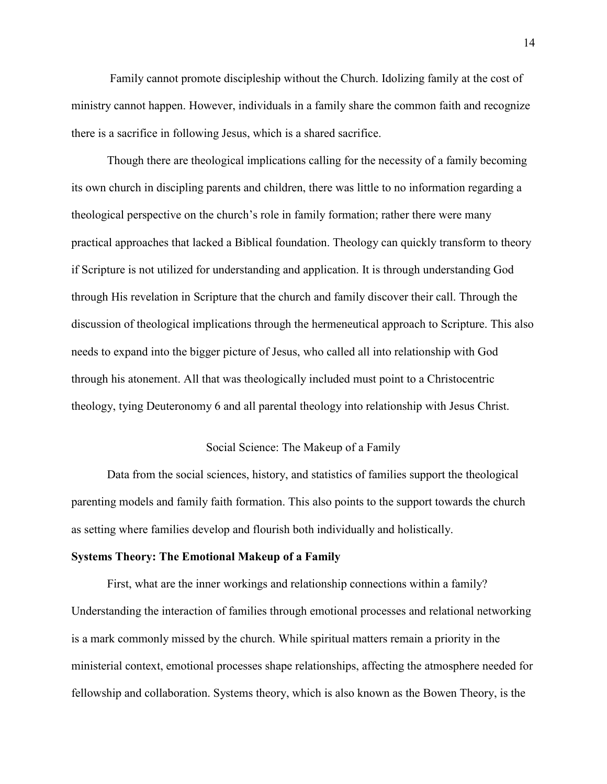Family cannot promote discipleship without the Church. Idolizing family at the cost of ministry cannot happen. However, individuals in a family share the common faith and recognize there is a sacrifice in following Jesus, which is a shared sacrifice.

Though there are theological implications calling for the necessity of a family becoming its own church in discipling parents and children, there was little to no information regarding a theological perspective on the church's role in family formation; rather there were many practical approaches that lacked a Biblical foundation. Theology can quickly transform to theory if Scripture is not utilized for understanding and application. It is through understanding God through His revelation in Scripture that the church and family discover their call. Through the discussion of theological implications through the hermeneutical approach to Scripture. This also needs to expand into the bigger picture of Jesus, who called all into relationship with God through his atonement. All that was theologically included must point to a Christocentric theology, tying Deuteronomy 6 and all parental theology into relationship with Jesus Christ.

#### Social Science: The Makeup of a Family

<span id="page-19-0"></span>Data from the social sciences, history, and statistics of families support the theological parenting models and family faith formation. This also points to the support towards the church as setting where families develop and flourish both individually and holistically.

#### <span id="page-19-1"></span>**Systems Theory: The Emotional Makeup of a Family**

First, what are the inner workings and relationship connections within a family? Understanding the interaction of families through emotional processes and relational networking is a mark commonly missed by the church. While spiritual matters remain a priority in the ministerial context, emotional processes shape relationships, affecting the atmosphere needed for fellowship and collaboration. Systems theory, which is also known as the Bowen Theory, is the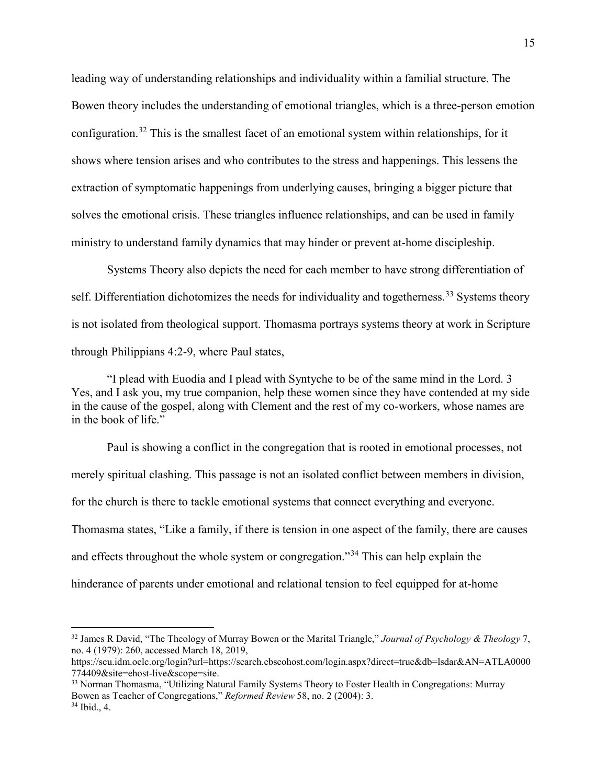leading way of understanding relationships and individuality within a familial structure. The Bowen theory includes the understanding of emotional triangles, which is a three-person emotion configuration.[32](#page-20-0) This is the smallest facet of an emotional system within relationships, for it shows where tension arises and who contributes to the stress and happenings. This lessens the extraction of symptomatic happenings from underlying causes, bringing a bigger picture that solves the emotional crisis. These triangles influence relationships, and can be used in family ministry to understand family dynamics that may hinder or prevent at-home discipleship.

Systems Theory also depicts the need for each member to have strong differentiation of self. Differentiation dichotomizes the needs for individuality and togetherness.<sup>[33](#page-20-1)</sup> Systems theory is not isolated from theological support. Thomasma portrays systems theory at work in Scripture through Philippians 4:2-9, where Paul states,

"I plead with Euodia and I plead with Syntyche to be of the same mind in the Lord. 3 Yes, and I ask you, my true companion, help these women since they have contended at my side in the cause of the gospel, along with Clement and the rest of my co-workers, whose names are in the book of life."

Paul is showing a conflict in the congregation that is rooted in emotional processes, not merely spiritual clashing. This passage is not an isolated conflict between members in division, for the church is there to tackle emotional systems that connect everything and everyone. Thomasma states, "Like a family, if there is tension in one aspect of the family, there are causes and effects throughout the whole system or congregation."[34](#page-20-2) This can help explain the hinderance of parents under emotional and relational tension to feel equipped for at-home

<span id="page-20-0"></span> <sup>32</sup> James R David, "The Theology of Murray Bowen or the Marital Triangle," *Journal of Psychology & Theology* 7, no. 4 (1979): 260, accessed March 18, 2019,

https://seu.idm.oclc.org/login?url=https://search.ebscohost.com/login.aspx?direct=true&db=lsdar&AN=ATLA0000 774409&site=ehost-live&scope=site.

<span id="page-20-2"></span><span id="page-20-1"></span><sup>33</sup> Norman Thomasma, "Utilizing Natural Family Systems Theory to Foster Health in Congregations: Murray Bowen as Teacher of Congregations," *Reformed Review* 58, no. 2 (2004): 3. <sup>34</sup> Ibid., 4.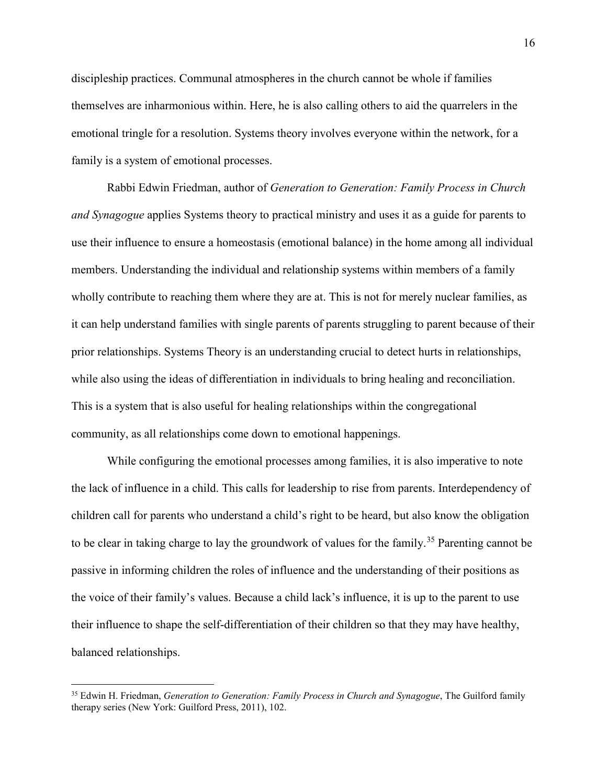discipleship practices. Communal atmospheres in the church cannot be whole if families themselves are inharmonious within. Here, he is also calling others to aid the quarrelers in the emotional tringle for a resolution. Systems theory involves everyone within the network, for a family is a system of emotional processes.

Rabbi Edwin Friedman, author of *Generation to Generation: Family Process in Church and Synagogue* applies Systems theory to practical ministry and uses it as a guide for parents to use their influence to ensure a homeostasis (emotional balance) in the home among all individual members. Understanding the individual and relationship systems within members of a family wholly contribute to reaching them where they are at. This is not for merely nuclear families, as it can help understand families with single parents of parents struggling to parent because of their prior relationships. Systems Theory is an understanding crucial to detect hurts in relationships, while also using the ideas of differentiation in individuals to bring healing and reconciliation. This is a system that is also useful for healing relationships within the congregational community, as all relationships come down to emotional happenings.

While configuring the emotional processes among families, it is also imperative to note the lack of influence in a child. This calls for leadership to rise from parents. Interdependency of children call for parents who understand a child's right to be heard, but also know the obligation to be clear in taking charge to lay the groundwork of values for the family.<sup>[35](#page-21-0)</sup> Parenting cannot be passive in informing children the roles of influence and the understanding of their positions as the voice of their family's values. Because a child lack's influence, it is up to the parent to use their influence to shape the self-differentiation of their children so that they may have healthy, balanced relationships.

<span id="page-21-0"></span> <sup>35</sup> Edwin H. Friedman, *Generation to Generation: Family Process in Church and Synagogue*, The Guilford family therapy series (New York: Guilford Press, 2011), 102.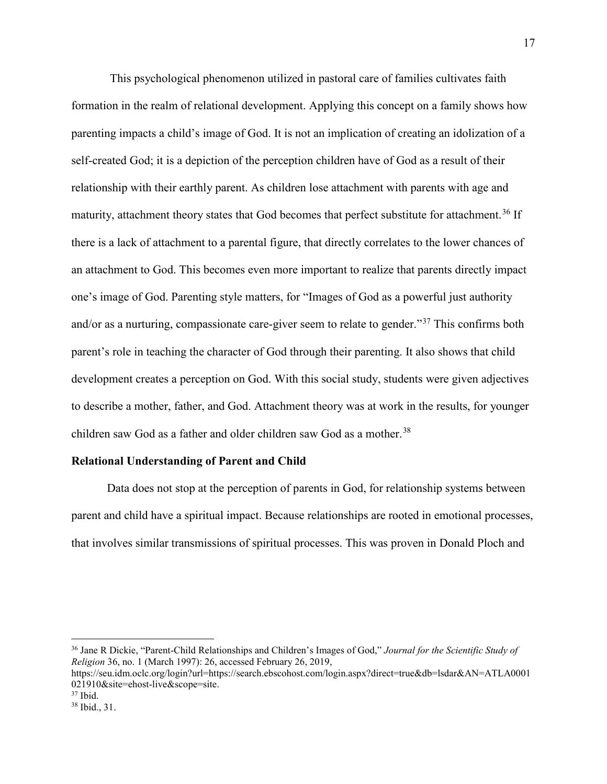This psychological phenomenon utilized in pastoral care of families cultivates faith formation in the realm of relational development. Applying this concept on a family shows how parenting impacts a child's image of God. It is not an implication of creating an idolization of a self-created God; it is a depiction of the perception children have of God as a result of their relationship with their earthly parent. As children lose attachment with parents with age and maturity, attachment theory states that God becomes that perfect substitute for attachment.<sup>[36](#page-22-1)</sup> If there is a lack of attachment to a parental figure, that directly correlates to the lower chances of an attachment to God. This becomes even more important to realize that parents directly impact one's image of God. Parenting style matters, for "Images of God as a powerful just authority and/or as a nurturing, compassionate care-giver seem to relate to gender."[37](#page-22-2) This confirms both parent's role in teaching the character of God through their parenting. It also shows that child development creates a perception on God. With this social study, students were given adjectives to describe a mother, father, and God. Attachment theory was at work in the results, for younger children saw God as a father and older children saw God as a mother.<sup>[38](#page-22-3)</sup>

#### <span id="page-22-0"></span>**Relational Understanding of Parent and Child**

Data does not stop at the perception of parents in God, for relationship systems between parent and child have a spiritual impact. Because relationships are rooted in emotional processes, that involves similar transmissions of spiritual processes. This was proven in Donald Ploch and

<span id="page-22-1"></span> <sup>36</sup> Jane R Dickie, "Parent-Child Relationships and Children's Images of God," *Journal for the Scientific Study of Religion* 36, no. 1 (March 1997): 26, accessed February 26, 2019,

https://seu.idm.oclc.org/login?url=https://search.ebscohost.com/login.aspx?direct=true&db=lsdar&AN=ATLA0001 021910&site=ehost-live&scope=site.

<span id="page-22-2"></span> $37$  Ibid.

<span id="page-22-3"></span><sup>38</sup> Ibid., 31.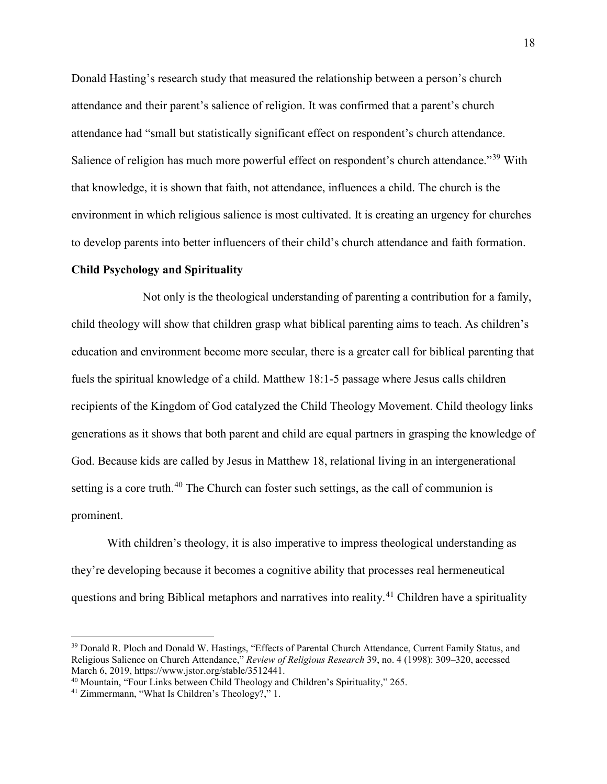Donald Hasting's research study that measured the relationship between a person's church attendance and their parent's salience of religion. It was confirmed that a parent's church attendance had "small but statistically significant effect on respondent's church attendance. Salience of religion has much more powerful effect on respondent's church attendance."<sup>[39](#page-23-1)</sup> With that knowledge, it is shown that faith, not attendance, influences a child. The church is the environment in which religious salience is most cultivated. It is creating an urgency for churches to develop parents into better influencers of their child's church attendance and faith formation.

#### <span id="page-23-0"></span>**Child Psychology and Spirituality**

Not only is the theological understanding of parenting a contribution for a family, child theology will show that children grasp what biblical parenting aims to teach. As children's education and environment become more secular, there is a greater call for biblical parenting that fuels the spiritual knowledge of a child. Matthew 18:1-5 passage where Jesus calls children recipients of the Kingdom of God catalyzed the Child Theology Movement. Child theology links generations as it shows that both parent and child are equal partners in grasping the knowledge of God. Because kids are called by Jesus in Matthew 18, relational living in an intergenerational setting is a core truth.<sup>[40](#page-23-2)</sup> The Church can foster such settings, as the call of communion is prominent.

With children's theology, it is also imperative to impress theological understanding as they're developing because it becomes a cognitive ability that processes real hermeneutical questions and bring Biblical metaphors and narratives into reality.<sup>[41](#page-23-3)</sup> Children have a spirituality

<span id="page-23-1"></span><sup>&</sup>lt;sup>39</sup> Donald R. Ploch and Donald W. Hastings, "Effects of Parental Church Attendance, Current Family Status, and Religious Salience on Church Attendance," *Review of Religious Research* 39, no. 4 (1998): 309–320, accessed March 6, 2019, https://www.jstor.org/stable/3512441.

<span id="page-23-2"></span><sup>40</sup> Mountain, "Four Links between Child Theology and Children's Spirituality," 265.

<span id="page-23-3"></span><sup>41</sup> Zimmermann, "What Is Children's Theology?," 1.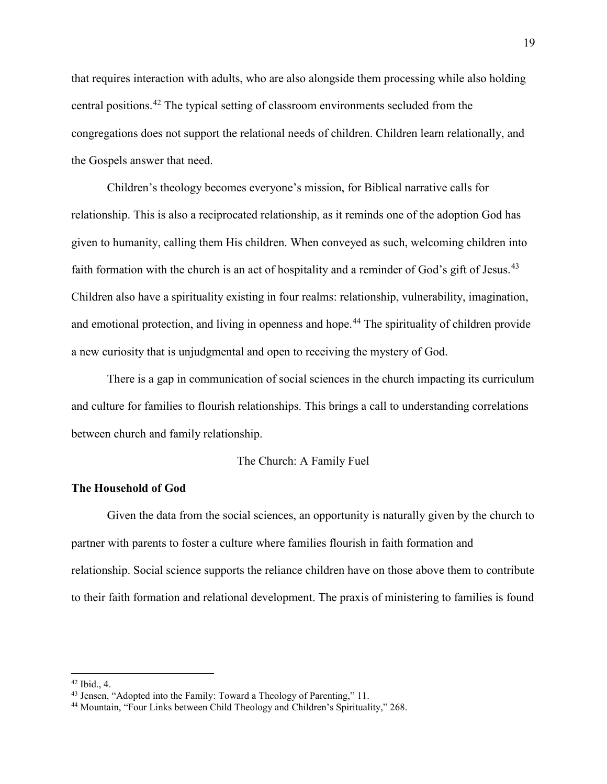that requires interaction with adults, who are also alongside them processing while also holding central positions.[42](#page-24-2) The typical setting of classroom environments secluded from the congregations does not support the relational needs of children. Children learn relationally, and the Gospels answer that need.

Children's theology becomes everyone's mission, for Biblical narrative calls for relationship. This is also a reciprocated relationship, as it reminds one of the adoption God has given to humanity, calling them His children. When conveyed as such, welcoming children into faith formation with the church is an act of hospitality and a reminder of God's gift of Jesus.<sup>[43](#page-24-3)</sup> Children also have a spirituality existing in four realms: relationship, vulnerability, imagination, and emotional protection, and living in openness and hope.<sup>[44](#page-24-4)</sup> The spirituality of children provide a new curiosity that is unjudgmental and open to receiving the mystery of God.

There is a gap in communication of social sciences in the church impacting its curriculum and culture for families to flourish relationships. This brings a call to understanding correlations between church and family relationship.

#### The Church: A Family Fuel

#### <span id="page-24-1"></span><span id="page-24-0"></span>**The Household of God**

Given the data from the social sciences, an opportunity is naturally given by the church to partner with parents to foster a culture where families flourish in faith formation and relationship. Social science supports the reliance children have on those above them to contribute to their faith formation and relational development. The praxis of ministering to families is found

<span id="page-24-2"></span> <sup>42</sup> Ibid., 4.

<span id="page-24-3"></span><sup>&</sup>lt;sup>43</sup> Jensen, "Adopted into the Family: Toward a Theology of Parenting," 11.

<span id="page-24-4"></span><sup>44</sup> Mountain, "Four Links between Child Theology and Children's Spirituality," 268.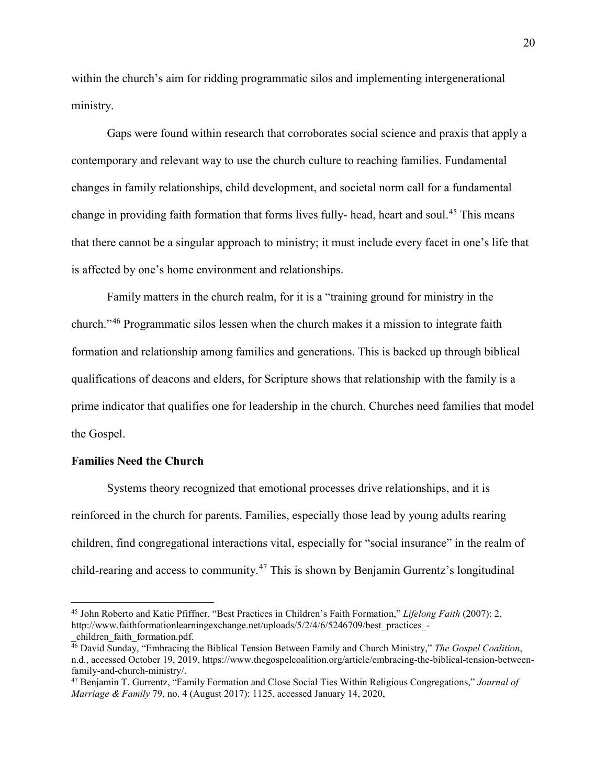within the church's aim for ridding programmatic silos and implementing intergenerational ministry.

Gaps were found within research that corroborates social science and praxis that apply a contemporary and relevant way to use the church culture to reaching families. Fundamental changes in family relationships, child development, and societal norm call for a fundamental change in providing faith formation that forms lives fully- head, heart and soul.<sup>[45](#page-25-1)</sup> This means that there cannot be a singular approach to ministry; it must include every facet in one's life that is affected by one's home environment and relationships.

Family matters in the church realm, for it is a "training ground for ministry in the church."[46](#page-25-2) Programmatic silos lessen when the church makes it a mission to integrate faith formation and relationship among families and generations. This is backed up through biblical qualifications of deacons and elders, for Scripture shows that relationship with the family is a prime indicator that qualifies one for leadership in the church. Churches need families that model the Gospel.

#### <span id="page-25-0"></span>**Families Need the Church**

Systems theory recognized that emotional processes drive relationships, and it is reinforced in the church for parents. Families, especially those lead by young adults rearing children, find congregational interactions vital, especially for "social insurance" in the realm of child-rearing and access to community.[47](#page-25-3) This is shown by Benjamin Gurrentz's longitudinal

<span id="page-25-1"></span> <sup>45</sup> John Roberto and Katie Pfiffner, "Best Practices in Children's Faith Formation," *Lifelong Faith* (2007): 2, http://www.faithformationlearningexchange.net/uploads/5/2/4/6/5246709/best\_practices\_ children faith formation.pdf.

<span id="page-25-2"></span><sup>46</sup> David Sunday, "Embracing the Biblical Tension Between Family and Church Ministry," *The Gospel Coalition*, n.d., accessed October 19, 2019, https://www.thegospelcoalition.org/article/embracing-the-biblical-tension-betweenfamily-and-church-ministry/.

<span id="page-25-3"></span><sup>47</sup> Benjamin T. Gurrentz, "Family Formation and Close Social Ties Within Religious Congregations," *Journal of Marriage & Family* 79, no. 4 (August 2017): 1125, accessed January 14, 2020,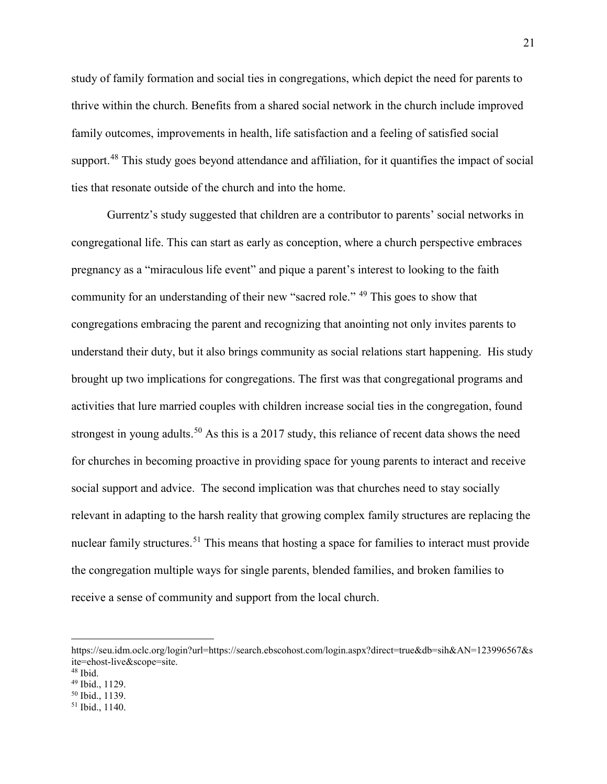study of family formation and social ties in congregations, which depict the need for parents to thrive within the church. Benefits from a shared social network in the church include improved family outcomes, improvements in health, life satisfaction and a feeling of satisfied social support.<sup>[48](#page-26-0)</sup> This study goes beyond attendance and affiliation, for it quantifies the impact of social ties that resonate outside of the church and into the home.

Gurrentz's study suggested that children are a contributor to parents' social networks in congregational life. This can start as early as conception, where a church perspective embraces pregnancy as a "miraculous life event" and pique a parent's interest to looking to the faith community for an understanding of their new "sacred role." [49](#page-26-1) This goes to show that congregations embracing the parent and recognizing that anointing not only invites parents to understand their duty, but it also brings community as social relations start happening. His study brought up two implications for congregations. The first was that congregational programs and activities that lure married couples with children increase social ties in the congregation, found strongest in young adults.<sup>[50](#page-26-2)</sup> As this is a 2017 study, this reliance of recent data shows the need for churches in becoming proactive in providing space for young parents to interact and receive social support and advice. The second implication was that churches need to stay socially relevant in adapting to the harsh reality that growing complex family structures are replacing the nuclear family structures.<sup>[51](#page-26-3)</sup> This means that hosting a space for families to interact must provide the congregation multiple ways for single parents, blended families, and broken families to receive a sense of community and support from the local church.

https://seu.idm.oclc.org/login?url=https://search.ebscohost.com/login.aspx?direct=true&db=sih&AN=123996567&s ite=ehost-live&scope=site.

<span id="page-26-0"></span><sup>48</sup> Ibid.

<span id="page-26-1"></span><sup>49</sup> Ibid., 1129.

<span id="page-26-2"></span><sup>50</sup> Ibid., 1139.

<span id="page-26-3"></span><sup>51</sup> Ibid., 1140.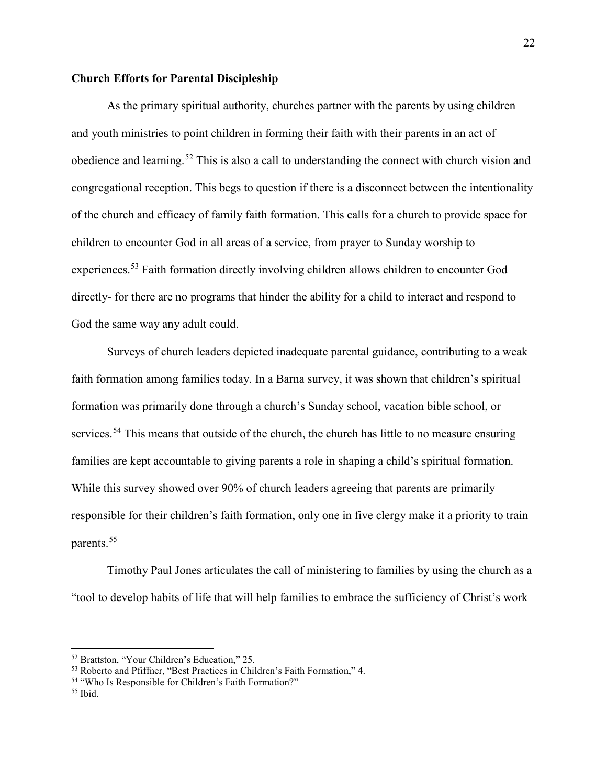#### <span id="page-27-0"></span>**Church Efforts for Parental Discipleship**

As the primary spiritual authority, churches partner with the parents by using children and youth ministries to point children in forming their faith with their parents in an act of obedience and learning.<sup>[52](#page-27-1)</sup> This is also a call to understanding the connect with church vision and congregational reception. This begs to question if there is a disconnect between the intentionality of the church and efficacy of family faith formation. This calls for a church to provide space for children to encounter God in all areas of a service, from prayer to Sunday worship to experiences.<sup>[53](#page-27-2)</sup> Faith formation directly involving children allows children to encounter God directly- for there are no programs that hinder the ability for a child to interact and respond to God the same way any adult could.

Surveys of church leaders depicted inadequate parental guidance, contributing to a weak faith formation among families today. In a Barna survey, it was shown that children's spiritual formation was primarily done through a church's Sunday school, vacation bible school, or services.<sup>[54](#page-27-3)</sup> This means that outside of the church, the church has little to no measure ensuring families are kept accountable to giving parents a role in shaping a child's spiritual formation. While this survey showed over 90% of church leaders agreeing that parents are primarily responsible for their children's faith formation, only one in five clergy make it a priority to train parents.<sup>[55](#page-27-4)</sup>

Timothy Paul Jones articulates the call of ministering to families by using the church as a "tool to develop habits of life that will help families to embrace the sufficiency of Christ's work

<span id="page-27-1"></span> <sup>52</sup> Brattston, "Your Children's Education," 25.

<span id="page-27-2"></span><sup>53</sup> Roberto and Pfiffner, "Best Practices in Children's Faith Formation," 4.

<span id="page-27-3"></span><sup>54</sup> "Who Is Responsible for Children's Faith Formation?"

<span id="page-27-4"></span> $55$  Ibid.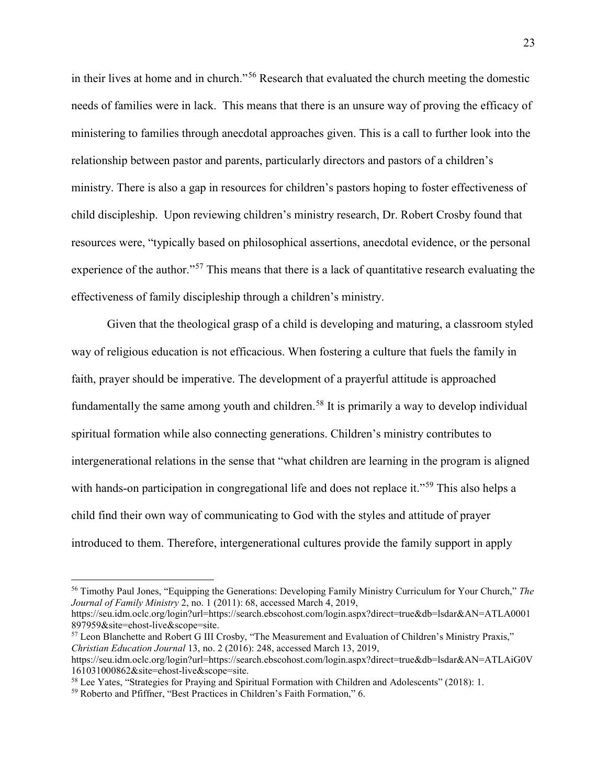in their lives at home and in church."[56](#page-28-0) Research that evaluated the church meeting the domestic needs of families were in lack. This means that there is an unsure way of proving the efficacy of ministering to families through anecdotal approaches given. This is a call to further look into the relationship between pastor and parents, particularly directors and pastors of a children's ministry. There is also a gap in resources for children's pastors hoping to foster effectiveness of child discipleship. Upon reviewing children's ministry research, Dr. Robert Crosby found that resources were, "typically based on philosophical assertions, anecdotal evidence, or the personal experience of the author."<sup>[57](#page-28-1)</sup> This means that there is a lack of quantitative research evaluating the effectiveness of family discipleship through a children's ministry.

Given that the theological grasp of a child is developing and maturing, a classroom styled way of religious education is not efficacious. When fostering a culture that fuels the family in faith, prayer should be imperative. The development of a prayerful attitude is approached fundamentally the same among youth and children.<sup>[58](#page-28-2)</sup> It is primarily a way to develop individual spiritual formation while also connecting generations. Children's ministry contributes to intergenerational relations in the sense that "what children are learning in the program is aligned with hands-on participation in congregational life and does not replace it."<sup>[59](#page-28-3)</sup> This also helps a child find their own way of communicating to God with the styles and attitude of prayer introduced to them. Therefore, intergenerational cultures provide the family support in apply

897959&site=ehost-live&scope=site.

<span id="page-28-1"></span><sup>57</sup> Leon Blanchette and Robert G III Crosby, "The Measurement and Evaluation of Children's Ministry Praxis," *Christian Education Journal* 13, no. 2 (2016): 248, accessed March 13, 2019,

<span id="page-28-0"></span> <sup>56</sup> Timothy Paul Jones, "Equipping the Generations: Developing Family Ministry Curriculum for Your Church," *The Journal of Family Ministry* 2, no. 1 (2011): 68, accessed March 4, 2019, https://seu.idm.oclc.org/login?url=https://search.ebscohost.com/login.aspx?direct=true&db=lsdar&AN=ATLA0001

https://seu.idm.oclc.org/login?url=https://search.ebscohost.com/login.aspx?direct=true&db=lsdar&AN=ATLAiG0V 161031000862&site=ehost-live&scope=site.

<span id="page-28-2"></span><sup>&</sup>lt;sup>58</sup> Lee Yates, "Strategies for Praying and Spiritual Formation with Children and Adolescents" (2018): 1.

<span id="page-28-3"></span><sup>59</sup> Roberto and Pfiffner, "Best Practices in Children's Faith Formation," 6.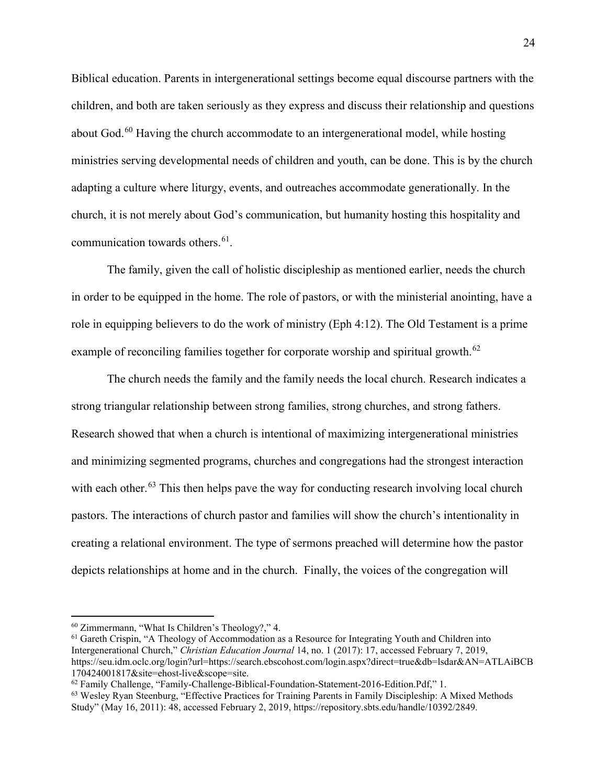Biblical education. Parents in intergenerational settings become equal discourse partners with the children, and both are taken seriously as they express and discuss their relationship and questions about God.<sup>[60](#page-29-0)</sup> Having the church accommodate to an intergenerational model, while hosting ministries serving developmental needs of children and youth, can be done. This is by the church adapting a culture where liturgy, events, and outreaches accommodate generationally. In the church, it is not merely about God's communication, but humanity hosting this hospitality and communication towards others.<sup>61</sup>.

The family, given the call of holistic discipleship as mentioned earlier, needs the church in order to be equipped in the home. The role of pastors, or with the ministerial anointing, have a role in equipping believers to do the work of ministry (Eph 4:12). The Old Testament is a prime example of reconciling families together for corporate worship and spiritual growth.<sup>[62](#page-29-2)</sup>

The church needs the family and the family needs the local church. Research indicates a strong triangular relationship between strong families, strong churches, and strong fathers. Research showed that when a church is intentional of maximizing intergenerational ministries and minimizing segmented programs, churches and congregations had the strongest interaction with each other.<sup>[63](#page-29-3)</sup> This then helps pave the way for conducting research involving local church pastors. The interactions of church pastor and families will show the church's intentionality in creating a relational environment. The type of sermons preached will determine how the pastor depicts relationships at home and in the church. Finally, the voices of the congregation will

<span id="page-29-0"></span> <sup>60</sup> Zimmermann, "What Is Children's Theology?," 4.

<span id="page-29-1"></span><sup>61</sup> Gareth Crispin, "A Theology of Accommodation as a Resource for Integrating Youth and Children into Intergenerational Church," *Christian Education Journal* 14, no. 1 (2017): 17, accessed February 7, 2019, https://seu.idm.oclc.org/login?url=https://search.ebscohost.com/login.aspx?direct=true&db=lsdar&AN=ATLAiBCB 170424001817&site=ehost-live&scope=site.

<span id="page-29-2"></span><sup>62</sup> Family Challenge, "Family-Challenge-Biblical-Foundation-Statement-2016-Edition.Pdf," 1.

<span id="page-29-3"></span><sup>63</sup> Wesley Ryan Steenburg, "Effective Practices for Training Parents in Family Discipleship: A Mixed Methods Study" (May 16, 2011): 48, accessed February 2, 2019, https://repository.sbts.edu/handle/10392/2849.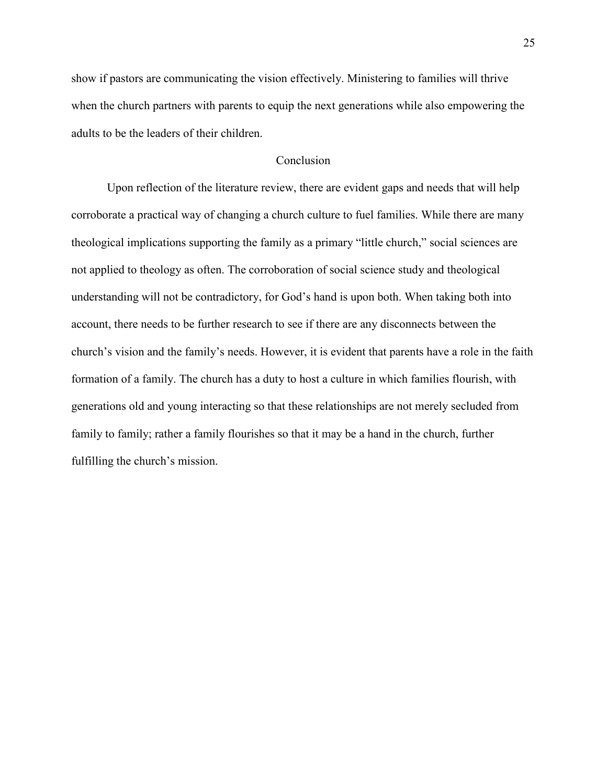show if pastors are communicating the vision effectively. Ministering to families will thrive when the church partners with parents to equip the next generations while also empowering the adults to be the leaders of their children.

#### Conclusion

<span id="page-30-0"></span>Upon reflection of the literature review, there are evident gaps and needs that will help corroborate a practical way of changing a church culture to fuel families. While there are many theological implications supporting the family as a primary "little church," social sciences are not applied to theology as often. The corroboration of social science study and theological understanding will not be contradictory, for God's hand is upon both. When taking both into account, there needs to be further research to see if there are any disconnects between the church's vision and the family's needs. However, it is evident that parents have a role in the faith formation of a family. The church has a duty to host a culture in which families flourish, with generations old and young interacting so that these relationships are not merely secluded from family to family; rather a family flourishes so that it may be a hand in the church, further fulfilling the church's mission.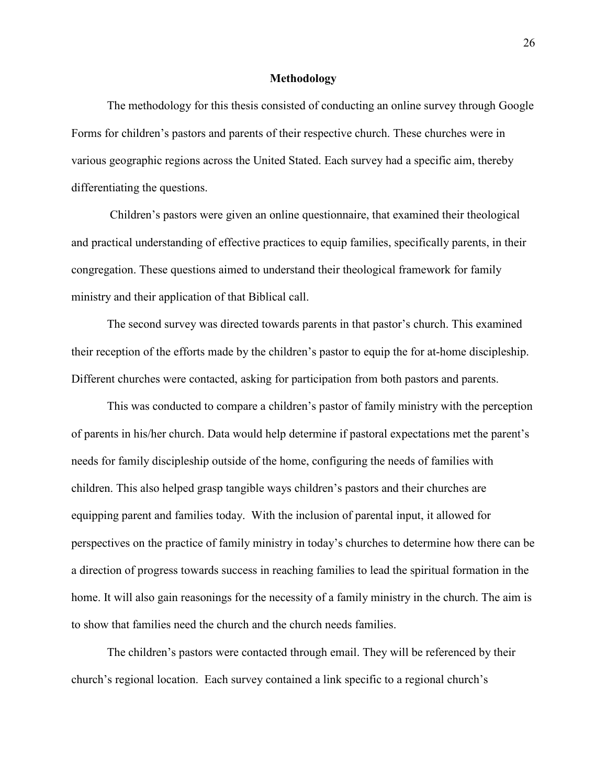#### **Methodology**

<span id="page-31-0"></span>The methodology for this thesis consisted of conducting an online survey through Google Forms for children's pastors and parents of their respective church. These churches were in various geographic regions across the United Stated. Each survey had a specific aim, thereby differentiating the questions.

Children's pastors were given an online questionnaire, that examined their theological and practical understanding of effective practices to equip families, specifically parents, in their congregation. These questions aimed to understand their theological framework for family ministry and their application of that Biblical call.

The second survey was directed towards parents in that pastor's church. This examined their reception of the efforts made by the children's pastor to equip the for at-home discipleship. Different churches were contacted, asking for participation from both pastors and parents.

This was conducted to compare a children's pastor of family ministry with the perception of parents in his/her church. Data would help determine if pastoral expectations met the parent's needs for family discipleship outside of the home, configuring the needs of families with children. This also helped grasp tangible ways children's pastors and their churches are equipping parent and families today. With the inclusion of parental input, it allowed for perspectives on the practice of family ministry in today's churches to determine how there can be a direction of progress towards success in reaching families to lead the spiritual formation in the home. It will also gain reasonings for the necessity of a family ministry in the church. The aim is to show that families need the church and the church needs families.

The children's pastors were contacted through email. They will be referenced by their church's regional location. Each survey contained a link specific to a regional church's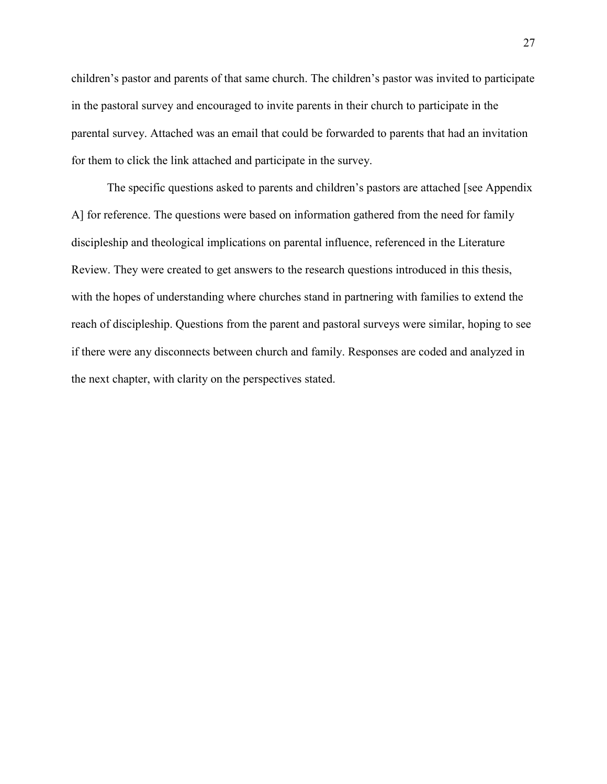children's pastor and parents of that same church. The children's pastor was invited to participate in the pastoral survey and encouraged to invite parents in their church to participate in the parental survey. Attached was an email that could be forwarded to parents that had an invitation for them to click the link attached and participate in the survey.

The specific questions asked to parents and children's pastors are attached [see Appendix A] for reference. The questions were based on information gathered from the need for family discipleship and theological implications on parental influence, referenced in the Literature Review. They were created to get answers to the research questions introduced in this thesis, with the hopes of understanding where churches stand in partnering with families to extend the reach of discipleship. Questions from the parent and pastoral surveys were similar, hoping to see if there were any disconnects between church and family. Responses are coded and analyzed in the next chapter, with clarity on the perspectives stated.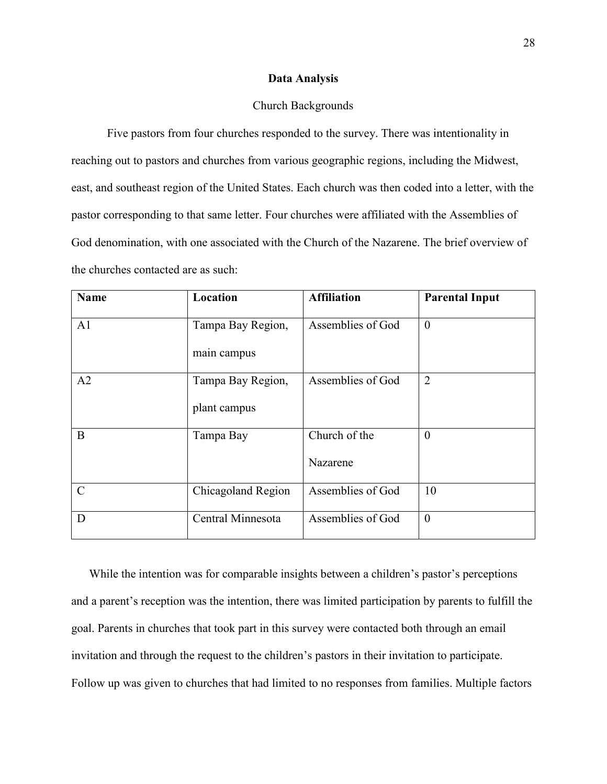#### **Data Analysis**

#### Church Backgrounds

<span id="page-33-1"></span><span id="page-33-0"></span>Five pastors from four churches responded to the survey. There was intentionality in reaching out to pastors and churches from various geographic regions, including the Midwest, east, and southeast region of the United States. Each church was then coded into a letter, with the pastor corresponding to that same letter. Four churches were affiliated with the Assemblies of God denomination, with one associated with the Church of the Nazarene. The brief overview of the churches contacted are as such:

| <b>Name</b>   | Location           | <b>Affiliation</b> | <b>Parental Input</b> |
|---------------|--------------------|--------------------|-----------------------|
| A1            | Tampa Bay Region,  | Assemblies of God  | $\theta$              |
|               | main campus        |                    |                       |
| A2            | Tampa Bay Region,  | Assemblies of God  | $\overline{2}$        |
|               | plant campus       |                    |                       |
| B             | Tampa Bay          | Church of the      | $\overline{0}$        |
|               |                    | Nazarene           |                       |
| $\mathcal{C}$ | Chicagoland Region | Assemblies of God  | 10                    |
| D             | Central Minnesota  | Assemblies of God  | $\theta$              |

While the intention was for comparable insights between a children's pastor's perceptions and a parent's reception was the intention, there was limited participation by parents to fulfill the goal. Parents in churches that took part in this survey were contacted both through an email invitation and through the request to the children's pastors in their invitation to participate. Follow up was given to churches that had limited to no responses from families. Multiple factors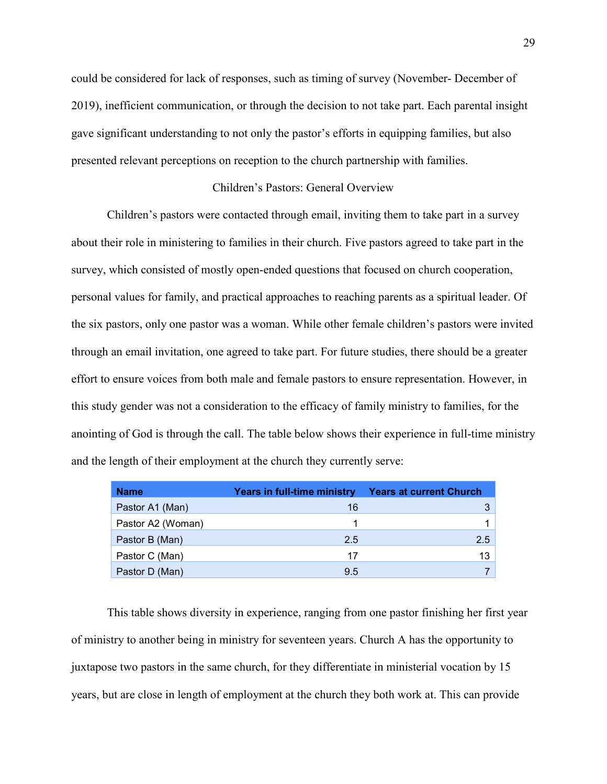could be considered for lack of responses, such as timing of survey (November- December of 2019), inefficient communication, or through the decision to not take part. Each parental insight gave significant understanding to not only the pastor's efforts in equipping families, but also presented relevant perceptions on reception to the church partnership with families.

#### Children's Pastors: General Overview

<span id="page-34-0"></span>Children's pastors were contacted through email, inviting them to take part in a survey about their role in ministering to families in their church. Five pastors agreed to take part in the survey, which consisted of mostly open-ended questions that focused on church cooperation, personal values for family, and practical approaches to reaching parents as a spiritual leader. Of the six pastors, only one pastor was a woman. While other female children's pastors were invited through an email invitation, one agreed to take part. For future studies, there should be a greater effort to ensure voices from both male and female pastors to ensure representation. However, in this study gender was not a consideration to the efficacy of family ministry to families, for the anointing of God is through the call. The table below shows their experience in full-time ministry and the length of their employment at the church they currently serve:

| <b>Name</b>       | Years in full-time ministry | <b>Years at current Church</b> |
|-------------------|-----------------------------|--------------------------------|
| Pastor A1 (Man)   | 16                          |                                |
| Pastor A2 (Woman) |                             |                                |
| Pastor B (Man)    | 2.5                         | 2.5                            |
| Pastor C (Man)    | 17                          | 13                             |
| Pastor D (Man)    | 9.5                         |                                |

This table shows diversity in experience, ranging from one pastor finishing her first year of ministry to another being in ministry for seventeen years. Church A has the opportunity to juxtapose two pastors in the same church, for they differentiate in ministerial vocation by 15 years, but are close in length of employment at the church they both work at. This can provide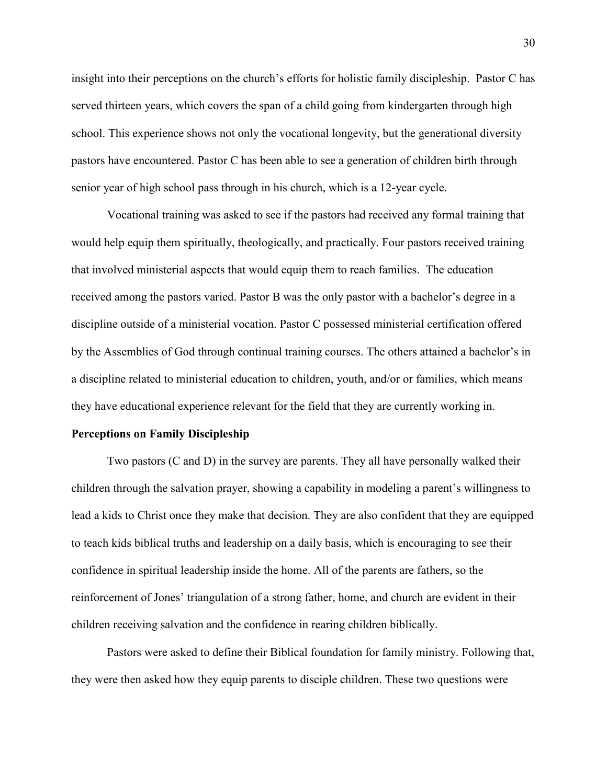insight into their perceptions on the church's efforts for holistic family discipleship. Pastor C has served thirteen years, which covers the span of a child going from kindergarten through high school. This experience shows not only the vocational longevity, but the generational diversity pastors have encountered. Pastor C has been able to see a generation of children birth through senior year of high school pass through in his church, which is a 12-year cycle.

Vocational training was asked to see if the pastors had received any formal training that would help equip them spiritually, theologically, and practically. Four pastors received training that involved ministerial aspects that would equip them to reach families. The education received among the pastors varied. Pastor B was the only pastor with a bachelor's degree in a discipline outside of a ministerial vocation. Pastor C possessed ministerial certification offered by the Assemblies of God through continual training courses. The others attained a bachelor's in a discipline related to ministerial education to children, youth, and/or or families, which means they have educational experience relevant for the field that they are currently working in.

#### <span id="page-35-0"></span>**Perceptions on Family Discipleship**

Two pastors (C and D) in the survey are parents. They all have personally walked their children through the salvation prayer, showing a capability in modeling a parent's willingness to lead a kids to Christ once they make that decision. They are also confident that they are equipped to teach kids biblical truths and leadership on a daily basis, which is encouraging to see their confidence in spiritual leadership inside the home. All of the parents are fathers, so the reinforcement of Jones' triangulation of a strong father, home, and church are evident in their children receiving salvation and the confidence in rearing children biblically.

Pastors were asked to define their Biblical foundation for family ministry. Following that, they were then asked how they equip parents to disciple children. These two questions were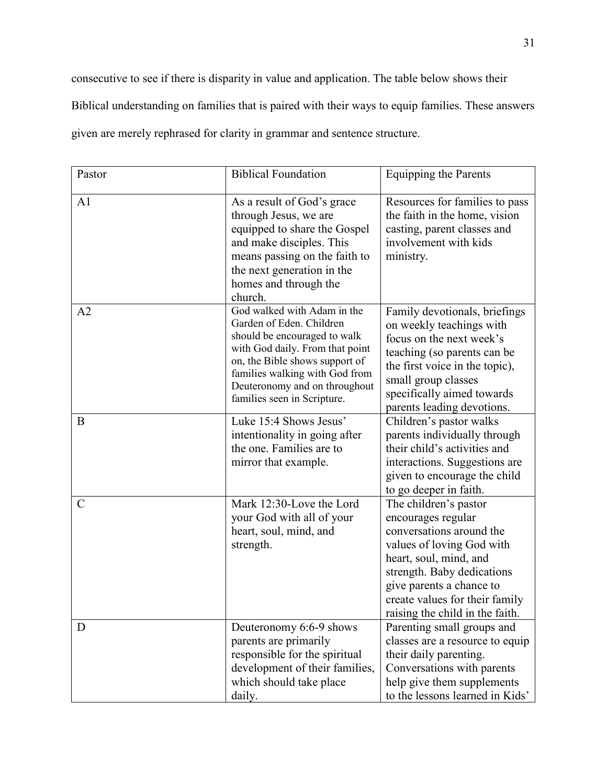consecutive to see if there is disparity in value and application. The table below shows their Biblical understanding on families that is paired with their ways to equip families. These answers given are merely rephrased for clarity in grammar and sentence structure.

| Pastor         | <b>Biblical Foundation</b>                                                                                                                                                                                                                                     | <b>Equipping the Parents</b>                                                                                                                                                                                                                                  |
|----------------|----------------------------------------------------------------------------------------------------------------------------------------------------------------------------------------------------------------------------------------------------------------|---------------------------------------------------------------------------------------------------------------------------------------------------------------------------------------------------------------------------------------------------------------|
| A <sub>1</sub> | As a result of God's grace<br>through Jesus, we are<br>equipped to share the Gospel<br>and make disciples. This<br>means passing on the faith to<br>the next generation in the<br>homes and through the<br>church.                                             | Resources for families to pass<br>the faith in the home, vision<br>casting, parent classes and<br>involvement with kids<br>ministry.                                                                                                                          |
| A2             | God walked with Adam in the<br>Garden of Eden. Children<br>should be encouraged to walk<br>with God daily. From that point<br>on, the Bible shows support of<br>families walking with God from<br>Deuteronomy and on throughout<br>families seen in Scripture. | Family devotionals, briefings<br>on weekly teachings with<br>focus on the next week's<br>teaching (so parents can be<br>the first voice in the topic),<br>small group classes<br>specifically aimed towards<br>parents leading devotions.                     |
| B              | Luke 15:4 Shows Jesus'<br>intentionality in going after<br>the one. Families are to<br>mirror that example.                                                                                                                                                    | Children's pastor walks<br>parents individually through<br>their child's activities and<br>interactions. Suggestions are<br>given to encourage the child<br>to go deeper in faith.                                                                            |
| $\mathcal{C}$  | Mark 12:30-Love the Lord<br>your God with all of your<br>heart, soul, mind, and<br>strength.                                                                                                                                                                   | The children's pastor<br>encourages regular<br>conversations around the<br>values of loving God with<br>heart, soul, mind, and<br>strength. Baby dedications<br>give parents a chance to<br>create values for their family<br>raising the child in the faith. |
| D              | Deuteronomy 6:6-9 shows<br>parents are primarily<br>responsible for the spiritual<br>development of their families,<br>which should take place<br>daily.                                                                                                       | Parenting small groups and<br>classes are a resource to equip<br>their daily parenting.<br>Conversations with parents<br>help give them supplements<br>to the lessons learned in Kids'                                                                        |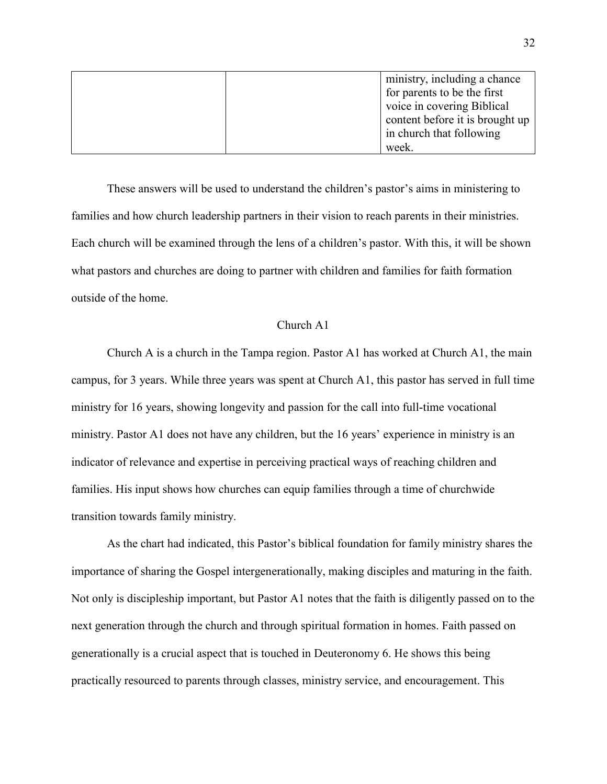|  | ministry, including a chance    |
|--|---------------------------------|
|  | for parents to be the first     |
|  | voice in covering Biblical      |
|  | content before it is brought up |
|  | in church that following        |
|  | week.                           |

These answers will be used to understand the children's pastor's aims in ministering to families and how church leadership partners in their vision to reach parents in their ministries. Each church will be examined through the lens of a children's pastor. With this, it will be shown what pastors and churches are doing to partner with children and families for faith formation outside of the home.

### Church A1

Church A is a church in the Tampa region. Pastor A1 has worked at Church A1, the main campus, for 3 years. While three years was spent at Church A1, this pastor has served in full time ministry for 16 years, showing longevity and passion for the call into full-time vocational ministry. Pastor A1 does not have any children, but the 16 years' experience in ministry is an indicator of relevance and expertise in perceiving practical ways of reaching children and families. His input shows how churches can equip families through a time of churchwide transition towards family ministry.

As the chart had indicated, this Pastor's biblical foundation for family ministry shares the importance of sharing the Gospel intergenerationally, making disciples and maturing in the faith. Not only is discipleship important, but Pastor A1 notes that the faith is diligently passed on to the next generation through the church and through spiritual formation in homes. Faith passed on generationally is a crucial aspect that is touched in Deuteronomy 6. He shows this being practically resourced to parents through classes, ministry service, and encouragement. This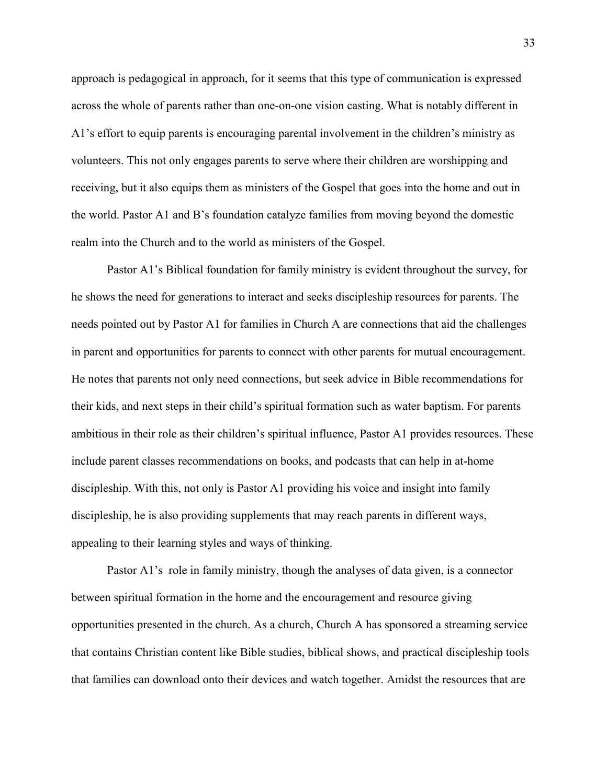approach is pedagogical in approach, for it seems that this type of communication is expressed across the whole of parents rather than one-on-one vision casting. What is notably different in A1's effort to equip parents is encouraging parental involvement in the children's ministry as volunteers. This not only engages parents to serve where their children are worshipping and receiving, but it also equips them as ministers of the Gospel that goes into the home and out in the world. Pastor A1 and B's foundation catalyze families from moving beyond the domestic realm into the Church and to the world as ministers of the Gospel.

Pastor A1's Biblical foundation for family ministry is evident throughout the survey, for he shows the need for generations to interact and seeks discipleship resources for parents. The needs pointed out by Pastor A1 for families in Church A are connections that aid the challenges in parent and opportunities for parents to connect with other parents for mutual encouragement. He notes that parents not only need connections, but seek advice in Bible recommendations for their kids, and next steps in their child's spiritual formation such as water baptism. For parents ambitious in their role as their children's spiritual influence, Pastor A1 provides resources. These include parent classes recommendations on books, and podcasts that can help in at-home discipleship. With this, not only is Pastor A1 providing his voice and insight into family discipleship, he is also providing supplements that may reach parents in different ways, appealing to their learning styles and ways of thinking.

Pastor A1's role in family ministry, though the analyses of data given, is a connector between spiritual formation in the home and the encouragement and resource giving opportunities presented in the church. As a church, Church A has sponsored a streaming service that contains Christian content like Bible studies, biblical shows, and practical discipleship tools that families can download onto their devices and watch together. Amidst the resources that are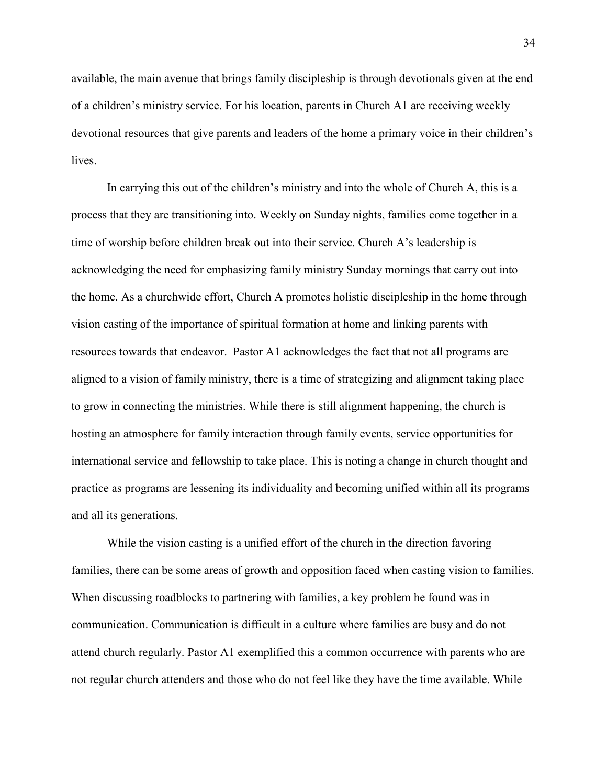available, the main avenue that brings family discipleship is through devotionals given at the end of a children's ministry service. For his location, parents in Church A1 are receiving weekly devotional resources that give parents and leaders of the home a primary voice in their children's lives.

In carrying this out of the children's ministry and into the whole of Church A, this is a process that they are transitioning into. Weekly on Sunday nights, families come together in a time of worship before children break out into their service. Church A's leadership is acknowledging the need for emphasizing family ministry Sunday mornings that carry out into the home. As a churchwide effort, Church A promotes holistic discipleship in the home through vision casting of the importance of spiritual formation at home and linking parents with resources towards that endeavor. Pastor A1 acknowledges the fact that not all programs are aligned to a vision of family ministry, there is a time of strategizing and alignment taking place to grow in connecting the ministries. While there is still alignment happening, the church is hosting an atmosphere for family interaction through family events, service opportunities for international service and fellowship to take place. This is noting a change in church thought and practice as programs are lessening its individuality and becoming unified within all its programs and all its generations.

While the vision casting is a unified effort of the church in the direction favoring families, there can be some areas of growth and opposition faced when casting vision to families. When discussing roadblocks to partnering with families, a key problem he found was in communication. Communication is difficult in a culture where families are busy and do not attend church regularly. Pastor A1 exemplified this a common occurrence with parents who are not regular church attenders and those who do not feel like they have the time available. While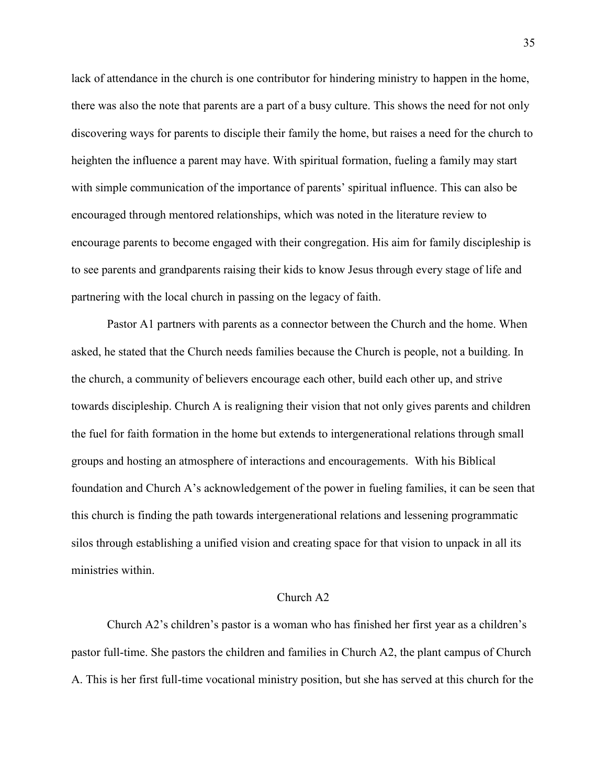lack of attendance in the church is one contributor for hindering ministry to happen in the home, there was also the note that parents are a part of a busy culture. This shows the need for not only discovering ways for parents to disciple their family the home, but raises a need for the church to heighten the influence a parent may have. With spiritual formation, fueling a family may start with simple communication of the importance of parents' spiritual influence. This can also be encouraged through mentored relationships, which was noted in the literature review to encourage parents to become engaged with their congregation. His aim for family discipleship is to see parents and grandparents raising their kids to know Jesus through every stage of life and partnering with the local church in passing on the legacy of faith.

Pastor A1 partners with parents as a connector between the Church and the home. When asked, he stated that the Church needs families because the Church is people, not a building. In the church, a community of believers encourage each other, build each other up, and strive towards discipleship. Church A is realigning their vision that not only gives parents and children the fuel for faith formation in the home but extends to intergenerational relations through small groups and hosting an atmosphere of interactions and encouragements. With his Biblical foundation and Church A's acknowledgement of the power in fueling families, it can be seen that this church is finding the path towards intergenerational relations and lessening programmatic silos through establishing a unified vision and creating space for that vision to unpack in all its ministries within.

#### Church A2

Church A2's children's pastor is a woman who has finished her first year as a children's pastor full-time. She pastors the children and families in Church A2, the plant campus of Church A. This is her first full-time vocational ministry position, but she has served at this church for the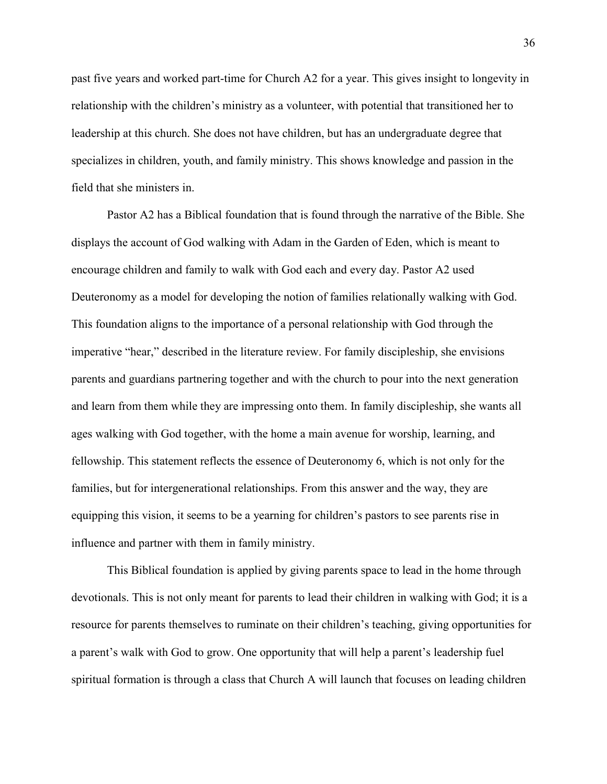past five years and worked part-time for Church A2 for a year. This gives insight to longevity in relationship with the children's ministry as a volunteer, with potential that transitioned her to leadership at this church. She does not have children, but has an undergraduate degree that specializes in children, youth, and family ministry. This shows knowledge and passion in the field that she ministers in.

Pastor A2 has a Biblical foundation that is found through the narrative of the Bible. She displays the account of God walking with Adam in the Garden of Eden, which is meant to encourage children and family to walk with God each and every day. Pastor A2 used Deuteronomy as a model for developing the notion of families relationally walking with God. This foundation aligns to the importance of a personal relationship with God through the imperative "hear," described in the literature review. For family discipleship, she envisions parents and guardians partnering together and with the church to pour into the next generation and learn from them while they are impressing onto them. In family discipleship, she wants all ages walking with God together, with the home a main avenue for worship, learning, and fellowship. This statement reflects the essence of Deuteronomy 6, which is not only for the families, but for intergenerational relationships. From this answer and the way, they are equipping this vision, it seems to be a yearning for children's pastors to see parents rise in influence and partner with them in family ministry.

This Biblical foundation is applied by giving parents space to lead in the home through devotionals. This is not only meant for parents to lead their children in walking with God; it is a resource for parents themselves to ruminate on their children's teaching, giving opportunities for a parent's walk with God to grow. One opportunity that will help a parent's leadership fuel spiritual formation is through a class that Church A will launch that focuses on leading children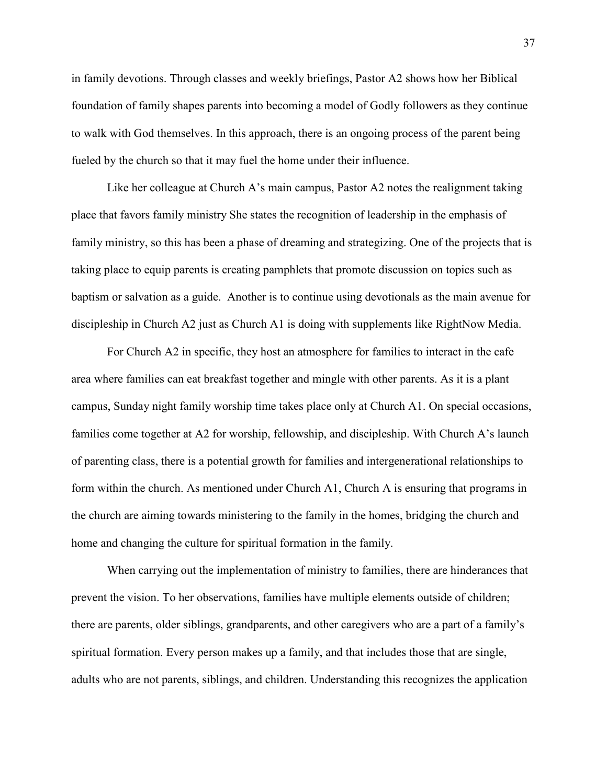in family devotions. Through classes and weekly briefings, Pastor A2 shows how her Biblical foundation of family shapes parents into becoming a model of Godly followers as they continue to walk with God themselves. In this approach, there is an ongoing process of the parent being fueled by the church so that it may fuel the home under their influence.

Like her colleague at Church A's main campus, Pastor A2 notes the realignment taking place that favors family ministry She states the recognition of leadership in the emphasis of family ministry, so this has been a phase of dreaming and strategizing. One of the projects that is taking place to equip parents is creating pamphlets that promote discussion on topics such as baptism or salvation as a guide. Another is to continue using devotionals as the main avenue for discipleship in Church A2 just as Church A1 is doing with supplements like RightNow Media.

For Church A2 in specific, they host an atmosphere for families to interact in the cafe area where families can eat breakfast together and mingle with other parents. As it is a plant campus, Sunday night family worship time takes place only at Church A1. On special occasions, families come together at A2 for worship, fellowship, and discipleship. With Church A's launch of parenting class, there is a potential growth for families and intergenerational relationships to form within the church. As mentioned under Church A1, Church A is ensuring that programs in the church are aiming towards ministering to the family in the homes, bridging the church and home and changing the culture for spiritual formation in the family.

When carrying out the implementation of ministry to families, there are hinderances that prevent the vision. To her observations, families have multiple elements outside of children; there are parents, older siblings, grandparents, and other caregivers who are a part of a family's spiritual formation. Every person makes up a family, and that includes those that are single, adults who are not parents, siblings, and children. Understanding this recognizes the application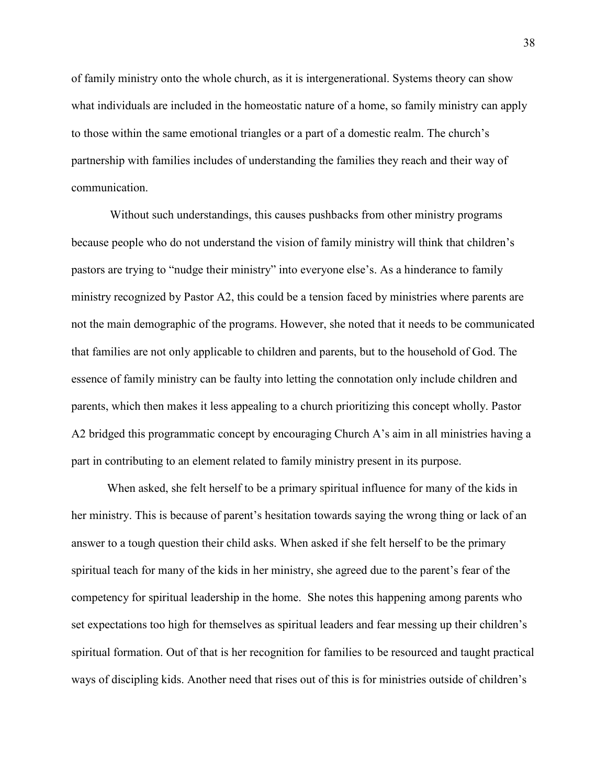of family ministry onto the whole church, as it is intergenerational. Systems theory can show what individuals are included in the homeostatic nature of a home, so family ministry can apply to those within the same emotional triangles or a part of a domestic realm. The church's partnership with families includes of understanding the families they reach and their way of communication.

Without such understandings, this causes pushbacks from other ministry programs because people who do not understand the vision of family ministry will think that children's pastors are trying to "nudge their ministry" into everyone else's. As a hinderance to family ministry recognized by Pastor A2, this could be a tension faced by ministries where parents are not the main demographic of the programs. However, she noted that it needs to be communicated that families are not only applicable to children and parents, but to the household of God. The essence of family ministry can be faulty into letting the connotation only include children and parents, which then makes it less appealing to a church prioritizing this concept wholly. Pastor A2 bridged this programmatic concept by encouraging Church A's aim in all ministries having a part in contributing to an element related to family ministry present in its purpose.

When asked, she felt herself to be a primary spiritual influence for many of the kids in her ministry. This is because of parent's hesitation towards saying the wrong thing or lack of an answer to a tough question their child asks. When asked if she felt herself to be the primary spiritual teach for many of the kids in her ministry, she agreed due to the parent's fear of the competency for spiritual leadership in the home. She notes this happening among parents who set expectations too high for themselves as spiritual leaders and fear messing up their children's spiritual formation. Out of that is her recognition for families to be resourced and taught practical ways of discipling kids. Another need that rises out of this is for ministries outside of children's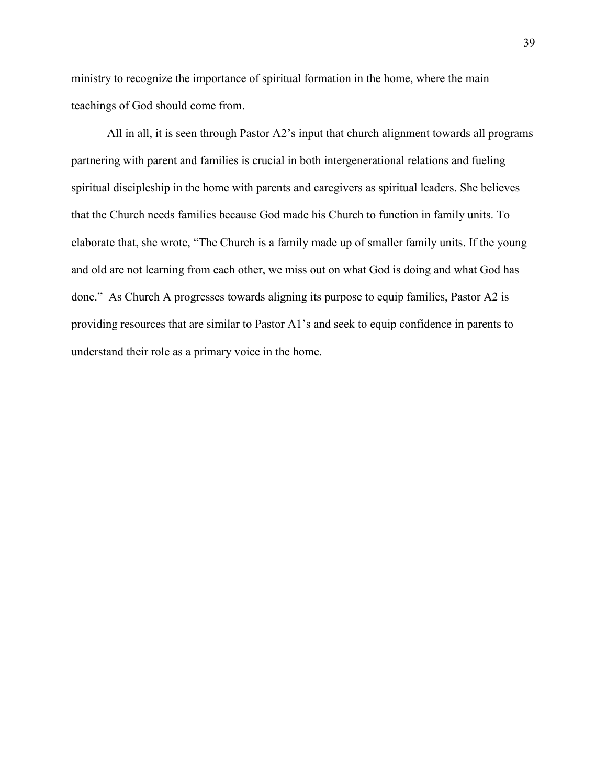ministry to recognize the importance of spiritual formation in the home, where the main teachings of God should come from.

All in all, it is seen through Pastor A2's input that church alignment towards all programs partnering with parent and families is crucial in both intergenerational relations and fueling spiritual discipleship in the home with parents and caregivers as spiritual leaders. She believes that the Church needs families because God made his Church to function in family units. To elaborate that, she wrote, "The Church is a family made up of smaller family units. If the young and old are not learning from each other, we miss out on what God is doing and what God has done." As Church A progresses towards aligning its purpose to equip families, Pastor A2 is providing resources that are similar to Pastor A1's and seek to equip confidence in parents to understand their role as a primary voice in the home.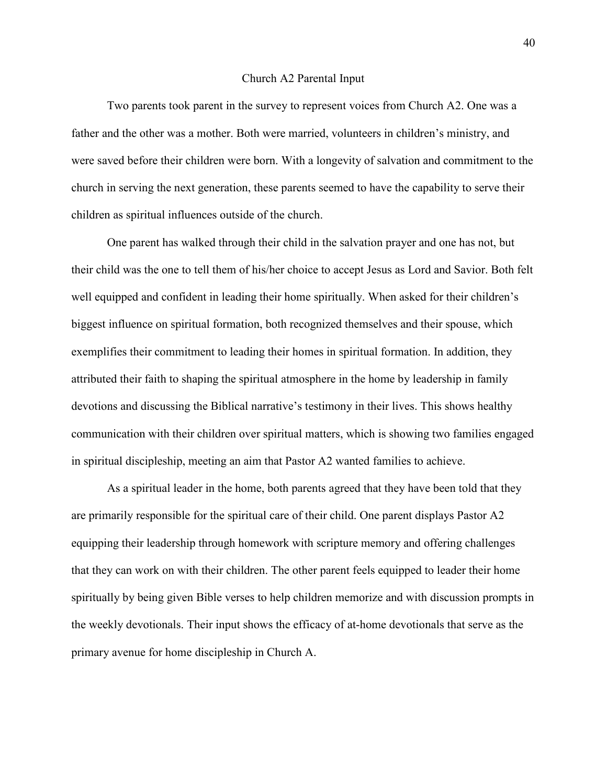#### Church A2 Parental Input

Two parents took parent in the survey to represent voices from Church A2. One was a father and the other was a mother. Both were married, volunteers in children's ministry, and were saved before their children were born. With a longevity of salvation and commitment to the church in serving the next generation, these parents seemed to have the capability to serve their children as spiritual influences outside of the church.

One parent has walked through their child in the salvation prayer and one has not, but their child was the one to tell them of his/her choice to accept Jesus as Lord and Savior. Both felt well equipped and confident in leading their home spiritually. When asked for their children's biggest influence on spiritual formation, both recognized themselves and their spouse, which exemplifies their commitment to leading their homes in spiritual formation. In addition, they attributed their faith to shaping the spiritual atmosphere in the home by leadership in family devotions and discussing the Biblical narrative's testimony in their lives. This shows healthy communication with their children over spiritual matters, which is showing two families engaged in spiritual discipleship, meeting an aim that Pastor A2 wanted families to achieve.

As a spiritual leader in the home, both parents agreed that they have been told that they are primarily responsible for the spiritual care of their child. One parent displays Pastor A2 equipping their leadership through homework with scripture memory and offering challenges that they can work on with their children. The other parent feels equipped to leader their home spiritually by being given Bible verses to help children memorize and with discussion prompts in the weekly devotionals. Their input shows the efficacy of at-home devotionals that serve as the primary avenue for home discipleship in Church A.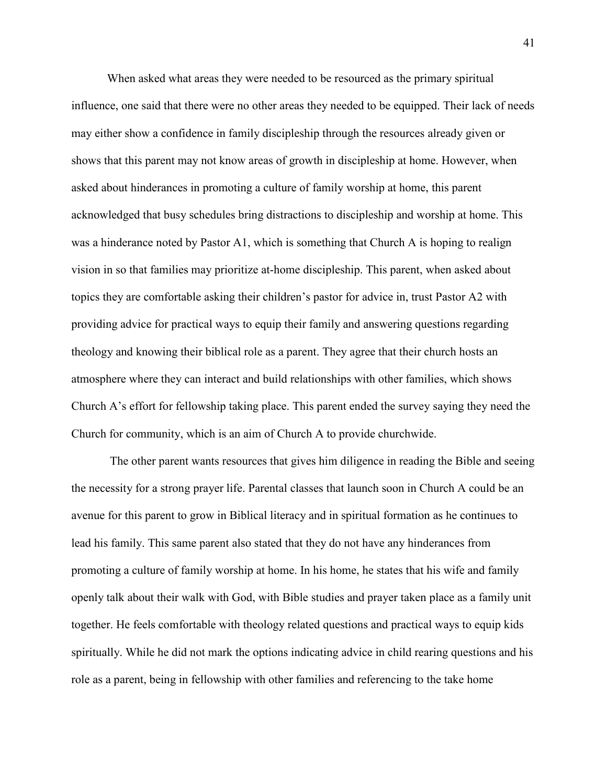When asked what areas they were needed to be resourced as the primary spiritual influence, one said that there were no other areas they needed to be equipped. Their lack of needs may either show a confidence in family discipleship through the resources already given or shows that this parent may not know areas of growth in discipleship at home. However, when asked about hinderances in promoting a culture of family worship at home, this parent acknowledged that busy schedules bring distractions to discipleship and worship at home. This was a hinderance noted by Pastor A1, which is something that Church A is hoping to realign vision in so that families may prioritize at-home discipleship. This parent, when asked about topics they are comfortable asking their children's pastor for advice in, trust Pastor A2 with providing advice for practical ways to equip their family and answering questions regarding theology and knowing their biblical role as a parent. They agree that their church hosts an atmosphere where they can interact and build relationships with other families, which shows Church A's effort for fellowship taking place. This parent ended the survey saying they need the Church for community, which is an aim of Church A to provide churchwide.

The other parent wants resources that gives him diligence in reading the Bible and seeing the necessity for a strong prayer life. Parental classes that launch soon in Church A could be an avenue for this parent to grow in Biblical literacy and in spiritual formation as he continues to lead his family. This same parent also stated that they do not have any hinderances from promoting a culture of family worship at home. In his home, he states that his wife and family openly talk about their walk with God, with Bible studies and prayer taken place as a family unit together. He feels comfortable with theology related questions and practical ways to equip kids spiritually. While he did not mark the options indicating advice in child rearing questions and his role as a parent, being in fellowship with other families and referencing to the take home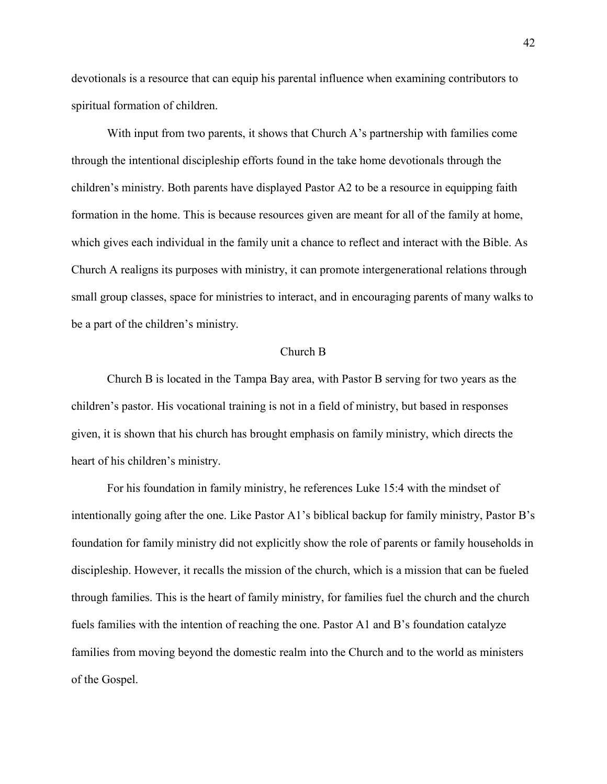devotionals is a resource that can equip his parental influence when examining contributors to spiritual formation of children.

With input from two parents, it shows that Church A's partnership with families come through the intentional discipleship efforts found in the take home devotionals through the children's ministry. Both parents have displayed Pastor A2 to be a resource in equipping faith formation in the home. This is because resources given are meant for all of the family at home, which gives each individual in the family unit a chance to reflect and interact with the Bible. As Church A realigns its purposes with ministry, it can promote intergenerational relations through small group classes, space for ministries to interact, and in encouraging parents of many walks to be a part of the children's ministry.

#### Church B

Church B is located in the Tampa Bay area, with Pastor B serving for two years as the children's pastor. His vocational training is not in a field of ministry, but based in responses given, it is shown that his church has brought emphasis on family ministry, which directs the heart of his children's ministry.

For his foundation in family ministry, he references Luke 15:4 with the mindset of intentionally going after the one. Like Pastor A1's biblical backup for family ministry, Pastor B's foundation for family ministry did not explicitly show the role of parents or family households in discipleship. However, it recalls the mission of the church, which is a mission that can be fueled through families. This is the heart of family ministry, for families fuel the church and the church fuels families with the intention of reaching the one. Pastor A1 and B's foundation catalyze families from moving beyond the domestic realm into the Church and to the world as ministers of the Gospel.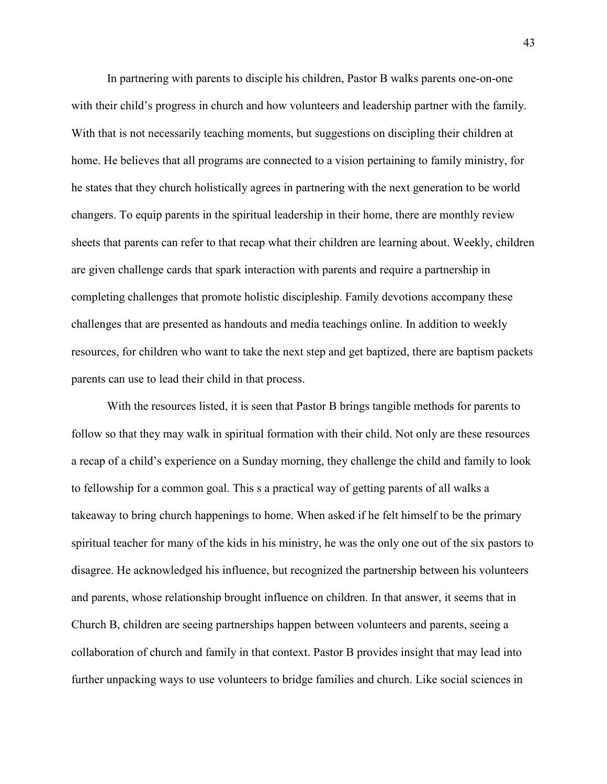In partnering with parents to disciple his children, Pastor B walks parents one-on-one with their child's progress in church and how volunteers and leadership partner with the family. With that is not necessarily teaching moments, but suggestions on discipling their children at home. He believes that all programs are connected to a vision pertaining to family ministry, for he states that they church holistically agrees in partnering with the next generation to be world changers. To equip parents in the spiritual leadership in their home, there are monthly review sheets that parents can refer to that recap what their children are learning about. Weekly, children are given challenge cards that spark interaction with parents and require a partnership in completing challenges that promote holistic discipleship. Family devotions accompany these challenges that are presented as handouts and media teachings online. In addition to weekly resources, for children who want to take the next step and get baptized, there are baptism packets parents can use to lead their child in that process.

With the resources listed, it is seen that Pastor B brings tangible methods for parents to follow so that they may walk in spiritual formation with their child. Not only are these resources a recap of a child's experience on a Sunday morning, they challenge the child and family to look to fellowship for a common goal. This s a practical way of getting parents of all walks a takeaway to bring church happenings to home. When asked if he felt himself to be the primary spiritual teacher for many of the kids in his ministry, he was the only one out of the six pastors to disagree. He acknowledged his influence, but recognized the partnership between his volunteers and parents, whose relationship brought influence on children. In that answer, it seems that in Church B, children are seeing partnerships happen between volunteers and parents, seeing a collaboration of church and family in that context. Pastor B provides insight that may lead into further unpacking ways to use volunteers to bridge families and church. Like social sciences in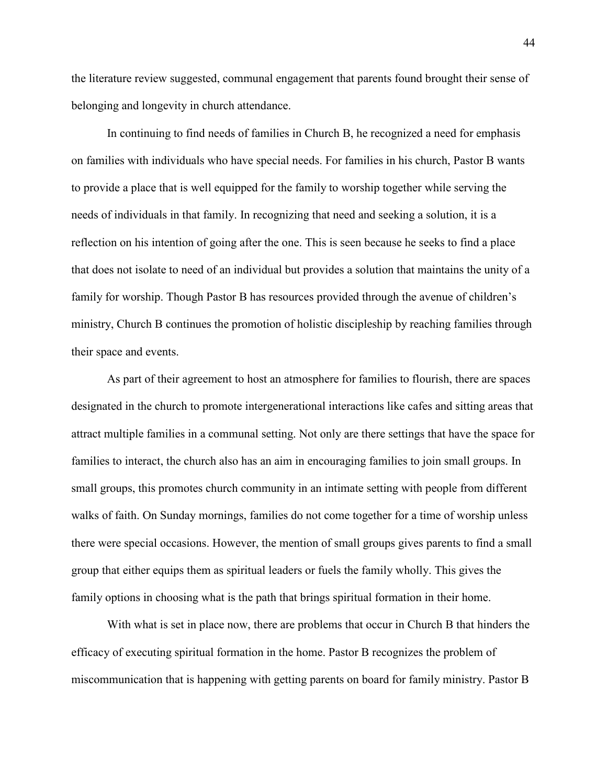the literature review suggested, communal engagement that parents found brought their sense of belonging and longevity in church attendance.

In continuing to find needs of families in Church B, he recognized a need for emphasis on families with individuals who have special needs. For families in his church, Pastor B wants to provide a place that is well equipped for the family to worship together while serving the needs of individuals in that family. In recognizing that need and seeking a solution, it is a reflection on his intention of going after the one. This is seen because he seeks to find a place that does not isolate to need of an individual but provides a solution that maintains the unity of a family for worship. Though Pastor B has resources provided through the avenue of children's ministry, Church B continues the promotion of holistic discipleship by reaching families through their space and events.

As part of their agreement to host an atmosphere for families to flourish, there are spaces designated in the church to promote intergenerational interactions like cafes and sitting areas that attract multiple families in a communal setting. Not only are there settings that have the space for families to interact, the church also has an aim in encouraging families to join small groups. In small groups, this promotes church community in an intimate setting with people from different walks of faith. On Sunday mornings, families do not come together for a time of worship unless there were special occasions. However, the mention of small groups gives parents to find a small group that either equips them as spiritual leaders or fuels the family wholly. This gives the family options in choosing what is the path that brings spiritual formation in their home.

With what is set in place now, there are problems that occur in Church B that hinders the efficacy of executing spiritual formation in the home. Pastor B recognizes the problem of miscommunication that is happening with getting parents on board for family ministry. Pastor B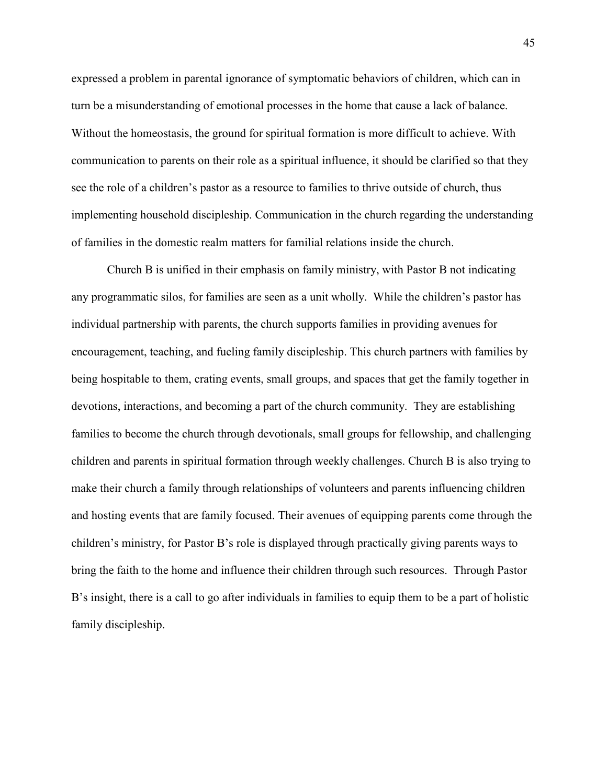expressed a problem in parental ignorance of symptomatic behaviors of children, which can in turn be a misunderstanding of emotional processes in the home that cause a lack of balance. Without the homeostasis, the ground for spiritual formation is more difficult to achieve. With communication to parents on their role as a spiritual influence, it should be clarified so that they see the role of a children's pastor as a resource to families to thrive outside of church, thus implementing household discipleship. Communication in the church regarding the understanding of families in the domestic realm matters for familial relations inside the church.

Church B is unified in their emphasis on family ministry, with Pastor B not indicating any programmatic silos, for families are seen as a unit wholly. While the children's pastor has individual partnership with parents, the church supports families in providing avenues for encouragement, teaching, and fueling family discipleship. This church partners with families by being hospitable to them, crating events, small groups, and spaces that get the family together in devotions, interactions, and becoming a part of the church community. They are establishing families to become the church through devotionals, small groups for fellowship, and challenging children and parents in spiritual formation through weekly challenges. Church B is also trying to make their church a family through relationships of volunteers and parents influencing children and hosting events that are family focused. Their avenues of equipping parents come through the children's ministry, for Pastor B's role is displayed through practically giving parents ways to bring the faith to the home and influence their children through such resources. Through Pastor B's insight, there is a call to go after individuals in families to equip them to be a part of holistic family discipleship.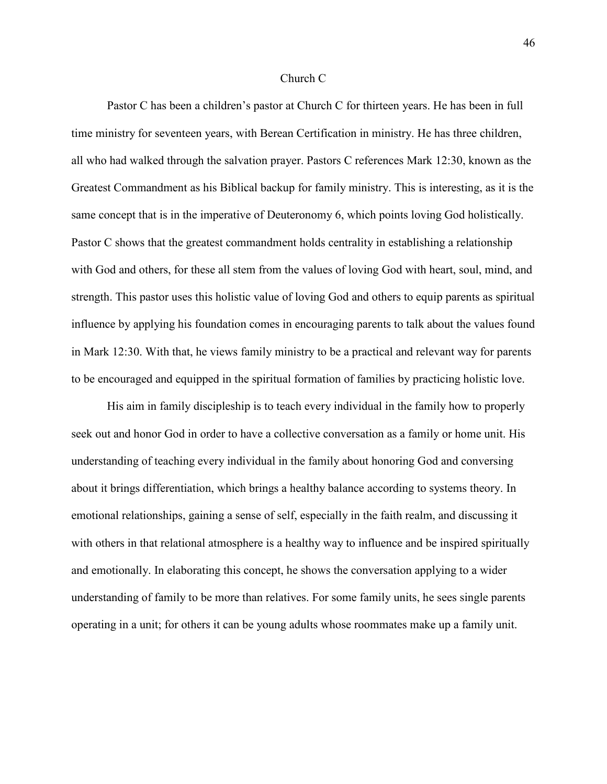#### Church C

Pastor C has been a children's pastor at Church C for thirteen years. He has been in full time ministry for seventeen years, with Berean Certification in ministry. He has three children, all who had walked through the salvation prayer. Pastors C references Mark 12:30, known as the Greatest Commandment as his Biblical backup for family ministry. This is interesting, as it is the same concept that is in the imperative of Deuteronomy 6, which points loving God holistically. Pastor C shows that the greatest commandment holds centrality in establishing a relationship with God and others, for these all stem from the values of loving God with heart, soul, mind, and strength. This pastor uses this holistic value of loving God and others to equip parents as spiritual influence by applying his foundation comes in encouraging parents to talk about the values found in Mark 12:30. With that, he views family ministry to be a practical and relevant way for parents to be encouraged and equipped in the spiritual formation of families by practicing holistic love.

His aim in family discipleship is to teach every individual in the family how to properly seek out and honor God in order to have a collective conversation as a family or home unit. His understanding of teaching every individual in the family about honoring God and conversing about it brings differentiation, which brings a healthy balance according to systems theory. In emotional relationships, gaining a sense of self, especially in the faith realm, and discussing it with others in that relational atmosphere is a healthy way to influence and be inspired spiritually and emotionally. In elaborating this concept, he shows the conversation applying to a wider understanding of family to be more than relatives. For some family units, he sees single parents operating in a unit; for others it can be young adults whose roommates make up a family unit.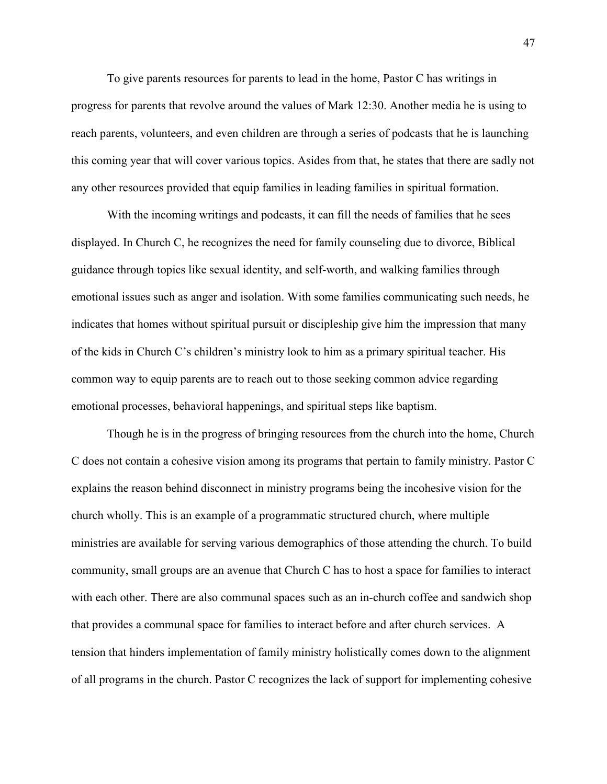To give parents resources for parents to lead in the home, Pastor C has writings in progress for parents that revolve around the values of Mark 12:30. Another media he is using to reach parents, volunteers, and even children are through a series of podcasts that he is launching this coming year that will cover various topics. Asides from that, he states that there are sadly not any other resources provided that equip families in leading families in spiritual formation.

With the incoming writings and podcasts, it can fill the needs of families that he sees displayed. In Church C, he recognizes the need for family counseling due to divorce, Biblical guidance through topics like sexual identity, and self-worth, and walking families through emotional issues such as anger and isolation. With some families communicating such needs, he indicates that homes without spiritual pursuit or discipleship give him the impression that many of the kids in Church C's children's ministry look to him as a primary spiritual teacher. His common way to equip parents are to reach out to those seeking common advice regarding emotional processes, behavioral happenings, and spiritual steps like baptism.

Though he is in the progress of bringing resources from the church into the home, Church C does not contain a cohesive vision among its programs that pertain to family ministry. Pastor C explains the reason behind disconnect in ministry programs being the incohesive vision for the church wholly. This is an example of a programmatic structured church, where multiple ministries are available for serving various demographics of those attending the church. To build community, small groups are an avenue that Church C has to host a space for families to interact with each other. There are also communal spaces such as an in-church coffee and sandwich shop that provides a communal space for families to interact before and after church services. A tension that hinders implementation of family ministry holistically comes down to the alignment of all programs in the church. Pastor C recognizes the lack of support for implementing cohesive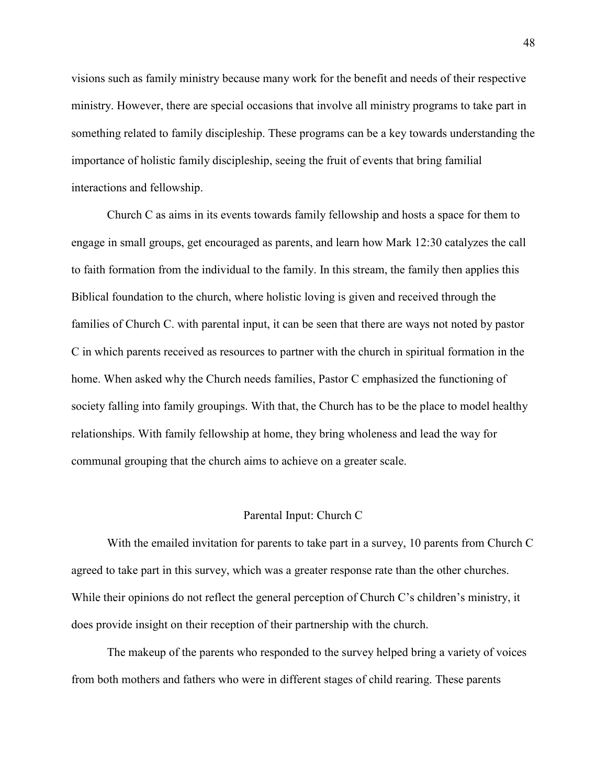visions such as family ministry because many work for the benefit and needs of their respective ministry. However, there are special occasions that involve all ministry programs to take part in something related to family discipleship. These programs can be a key towards understanding the importance of holistic family discipleship, seeing the fruit of events that bring familial interactions and fellowship.

Church C as aims in its events towards family fellowship and hosts a space for them to engage in small groups, get encouraged as parents, and learn how Mark 12:30 catalyzes the call to faith formation from the individual to the family. In this stream, the family then applies this Biblical foundation to the church, where holistic loving is given and received through the families of Church C. with parental input, it can be seen that there are ways not noted by pastor C in which parents received as resources to partner with the church in spiritual formation in the home. When asked why the Church needs families, Pastor C emphasized the functioning of society falling into family groupings. With that, the Church has to be the place to model healthy relationships. With family fellowship at home, they bring wholeness and lead the way for communal grouping that the church aims to achieve on a greater scale.

# Parental Input: Church C

With the emailed invitation for parents to take part in a survey, 10 parents from Church C agreed to take part in this survey, which was a greater response rate than the other churches. While their opinions do not reflect the general perception of Church C's children's ministry, it does provide insight on their reception of their partnership with the church.

The makeup of the parents who responded to the survey helped bring a variety of voices from both mothers and fathers who were in different stages of child rearing. These parents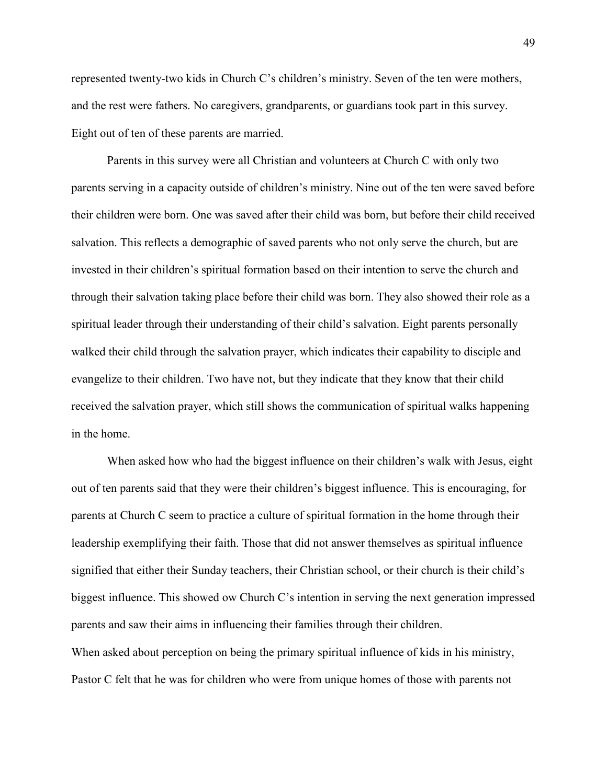represented twenty-two kids in Church C's children's ministry. Seven of the ten were mothers, and the rest were fathers. No caregivers, grandparents, or guardians took part in this survey. Eight out of ten of these parents are married.

Parents in this survey were all Christian and volunteers at Church C with only two parents serving in a capacity outside of children's ministry. Nine out of the ten were saved before their children were born. One was saved after their child was born, but before their child received salvation. This reflects a demographic of saved parents who not only serve the church, but are invested in their children's spiritual formation based on their intention to serve the church and through their salvation taking place before their child was born. They also showed their role as a spiritual leader through their understanding of their child's salvation. Eight parents personally walked their child through the salvation prayer, which indicates their capability to disciple and evangelize to their children. Two have not, but they indicate that they know that their child received the salvation prayer, which still shows the communication of spiritual walks happening in the home.

When asked how who had the biggest influence on their children's walk with Jesus, eight out of ten parents said that they were their children's biggest influence. This is encouraging, for parents at Church C seem to practice a culture of spiritual formation in the home through their leadership exemplifying their faith. Those that did not answer themselves as spiritual influence signified that either their Sunday teachers, their Christian school, or their church is their child's biggest influence. This showed ow Church C's intention in serving the next generation impressed parents and saw their aims in influencing their families through their children. When asked about perception on being the primary spiritual influence of kids in his ministry,

Pastor C felt that he was for children who were from unique homes of those with parents not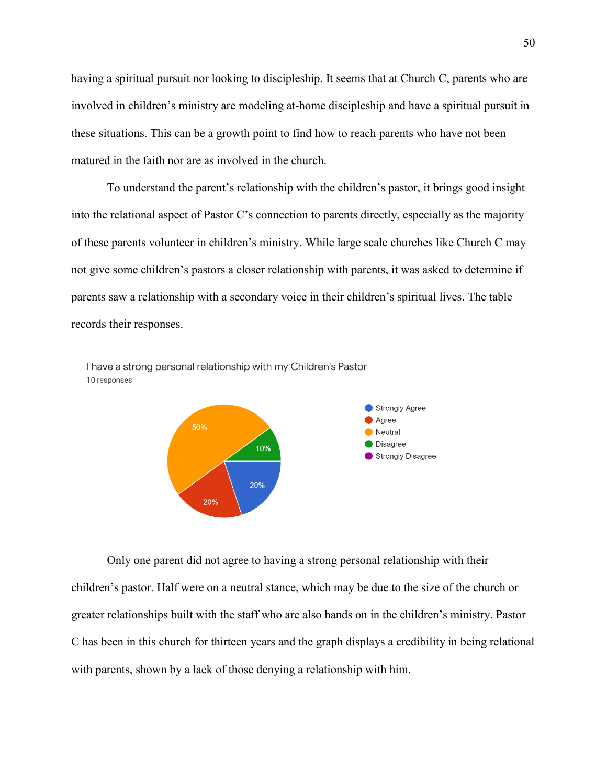having a spiritual pursuit nor looking to discipleship. It seems that at Church C, parents who are involved in children's ministry are modeling at-home discipleship and have a spiritual pursuit in these situations. This can be a growth point to find how to reach parents who have not been matured in the faith nor are as involved in the church.

To understand the parent's relationship with the children's pastor, it brings good insight into the relational aspect of Pastor C's connection to parents directly, especially as the majority of these parents volunteer in children's ministry. While large scale churches like Church C may not give some children's pastors a closer relationship with parents, it was asked to determine if parents saw a relationship with a secondary voice in their children's spiritual lives. The table records their responses.





Only one parent did not agree to having a strong personal relationship with their children's pastor. Half were on a neutral stance, which may be due to the size of the church or greater relationships built with the staff who are also hands on in the children's ministry. Pastor C has been in this church for thirteen years and the graph displays a credibility in being relational with parents, shown by a lack of those denying a relationship with him.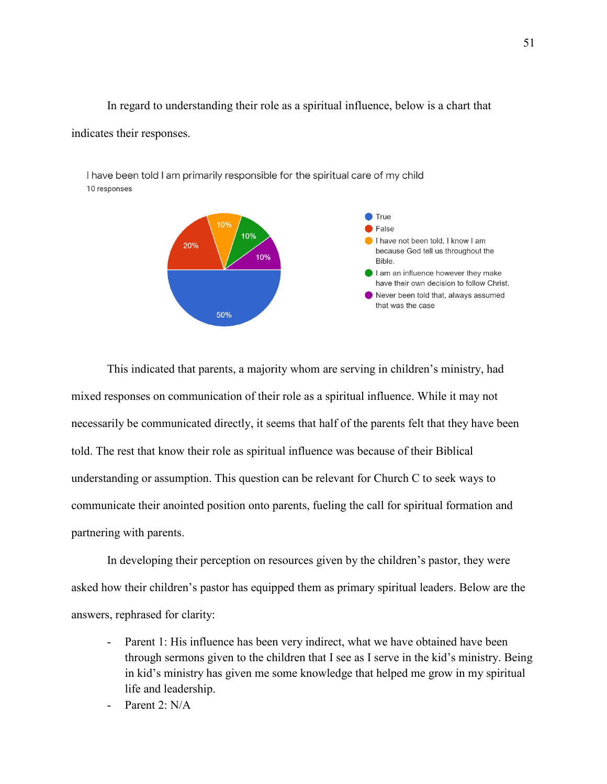In regard to understanding their role as a spiritual influence, below is a chart that indicates their responses.

I have been told I am primarily responsible for the spiritual care of my child 10 responses



This indicated that parents, a majority whom are serving in children's ministry, had mixed responses on communication of their role as a spiritual influence. While it may not necessarily be communicated directly, it seems that half of the parents felt that they have been told. The rest that know their role as spiritual influence was because of their Biblical understanding or assumption. This question can be relevant for Church C to seek ways to communicate their anointed position onto parents, fueling the call for spiritual formation and partnering with parents.

In developing their perception on resources given by the children's pastor, they were asked how their children's pastor has equipped them as primary spiritual leaders. Below are the answers, rephrased for clarity:

- Parent 1: His influence has been very indirect, what we have obtained have been through sermons given to the children that I see as I serve in the kid's ministry. Being in kid's ministry has given me some knowledge that helped me grow in my spiritual life and leadership.
- Parent 2: N/A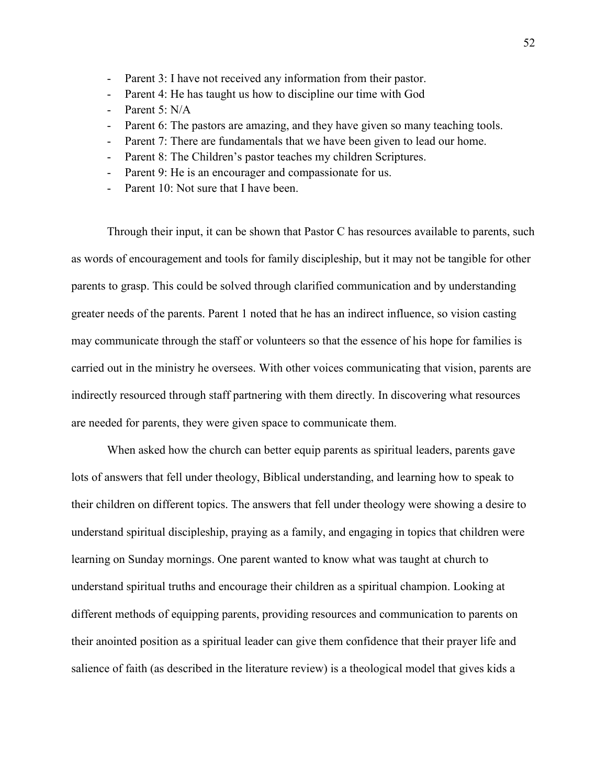- Parent 3: I have not received any information from their pastor.
- Parent 4: He has taught us how to discipline our time with God
- Parent 5: N/A
- Parent 6: The pastors are amazing, and they have given so many teaching tools.
- Parent 7: There are fundamentals that we have been given to lead our home.
- Parent 8: The Children's pastor teaches my children Scriptures.
- Parent 9: He is an encourager and compassionate for us.
- Parent 10: Not sure that I have been.

Through their input, it can be shown that Pastor C has resources available to parents, such as words of encouragement and tools for family discipleship, but it may not be tangible for other parents to grasp. This could be solved through clarified communication and by understanding greater needs of the parents. Parent 1 noted that he has an indirect influence, so vision casting may communicate through the staff or volunteers so that the essence of his hope for families is carried out in the ministry he oversees. With other voices communicating that vision, parents are indirectly resourced through staff partnering with them directly. In discovering what resources are needed for parents, they were given space to communicate them.

When asked how the church can better equip parents as spiritual leaders, parents gave lots of answers that fell under theology, Biblical understanding, and learning how to speak to their children on different topics. The answers that fell under theology were showing a desire to understand spiritual discipleship, praying as a family, and engaging in topics that children were learning on Sunday mornings. One parent wanted to know what was taught at church to understand spiritual truths and encourage their children as a spiritual champion. Looking at different methods of equipping parents, providing resources and communication to parents on their anointed position as a spiritual leader can give them confidence that their prayer life and salience of faith (as described in the literature review) is a theological model that gives kids a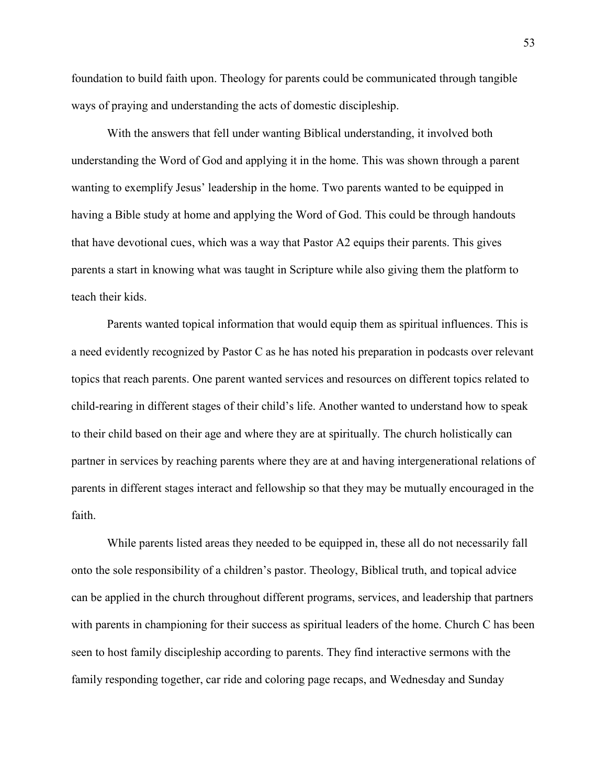foundation to build faith upon. Theology for parents could be communicated through tangible ways of praying and understanding the acts of domestic discipleship.

With the answers that fell under wanting Biblical understanding, it involved both understanding the Word of God and applying it in the home. This was shown through a parent wanting to exemplify Jesus' leadership in the home. Two parents wanted to be equipped in having a Bible study at home and applying the Word of God. This could be through handouts that have devotional cues, which was a way that Pastor A2 equips their parents. This gives parents a start in knowing what was taught in Scripture while also giving them the platform to teach their kids.

Parents wanted topical information that would equip them as spiritual influences. This is a need evidently recognized by Pastor C as he has noted his preparation in podcasts over relevant topics that reach parents. One parent wanted services and resources on different topics related to child-rearing in different stages of their child's life. Another wanted to understand how to speak to their child based on their age and where they are at spiritually. The church holistically can partner in services by reaching parents where they are at and having intergenerational relations of parents in different stages interact and fellowship so that they may be mutually encouraged in the faith.

While parents listed areas they needed to be equipped in, these all do not necessarily fall onto the sole responsibility of a children's pastor. Theology, Biblical truth, and topical advice can be applied in the church throughout different programs, services, and leadership that partners with parents in championing for their success as spiritual leaders of the home. Church C has been seen to host family discipleship according to parents. They find interactive sermons with the family responding together, car ride and coloring page recaps, and Wednesday and Sunday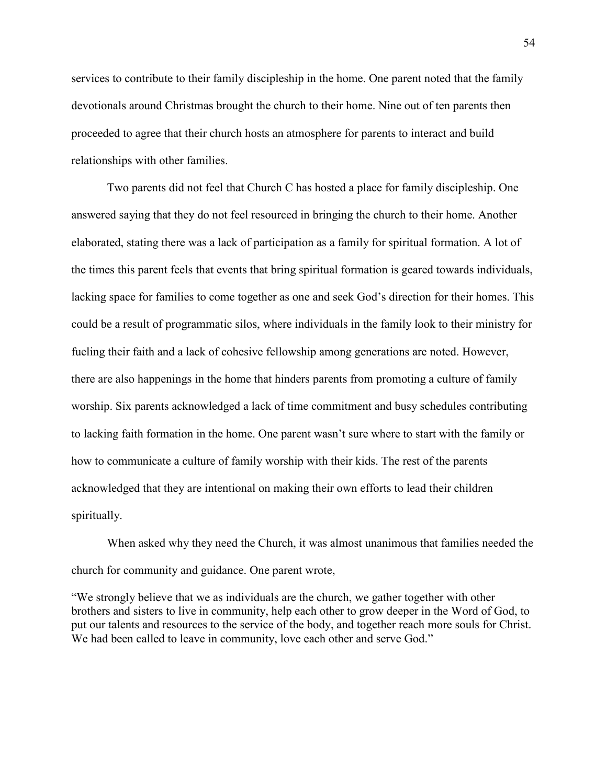services to contribute to their family discipleship in the home. One parent noted that the family devotionals around Christmas brought the church to their home. Nine out of ten parents then proceeded to agree that their church hosts an atmosphere for parents to interact and build relationships with other families.

Two parents did not feel that Church C has hosted a place for family discipleship. One answered saying that they do not feel resourced in bringing the church to their home. Another elaborated, stating there was a lack of participation as a family for spiritual formation. A lot of the times this parent feels that events that bring spiritual formation is geared towards individuals, lacking space for families to come together as one and seek God's direction for their homes. This could be a result of programmatic silos, where individuals in the family look to their ministry for fueling their faith and a lack of cohesive fellowship among generations are noted. However, there are also happenings in the home that hinders parents from promoting a culture of family worship. Six parents acknowledged a lack of time commitment and busy schedules contributing to lacking faith formation in the home. One parent wasn't sure where to start with the family or how to communicate a culture of family worship with their kids. The rest of the parents acknowledged that they are intentional on making their own efforts to lead their children spiritually.

When asked why they need the Church, it was almost unanimous that families needed the church for community and guidance. One parent wrote,

"We strongly believe that we as individuals are the church, we gather together with other brothers and sisters to live in community, help each other to grow deeper in the Word of God, to put our talents and resources to the service of the body, and together reach more souls for Christ. We had been called to leave in community, love each other and serve God."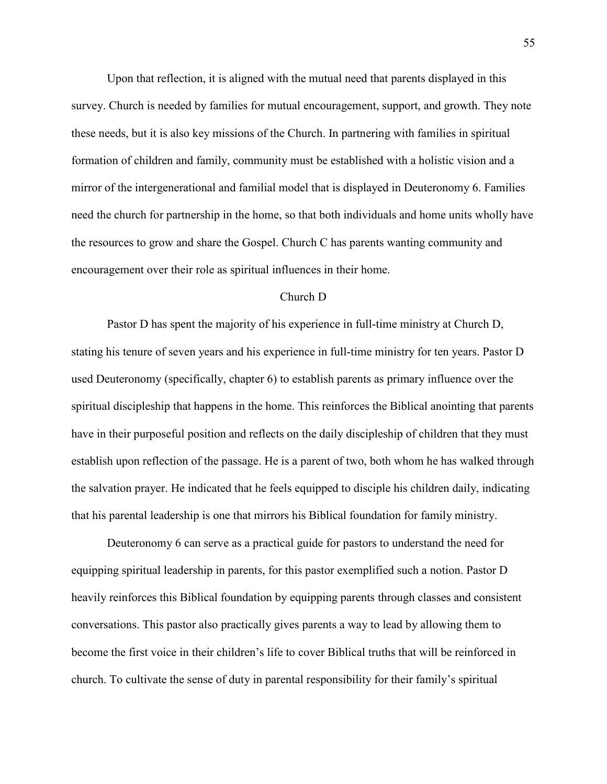Upon that reflection, it is aligned with the mutual need that parents displayed in this survey. Church is needed by families for mutual encouragement, support, and growth. They note these needs, but it is also key missions of the Church. In partnering with families in spiritual formation of children and family, community must be established with a holistic vision and a mirror of the intergenerational and familial model that is displayed in Deuteronomy 6. Families need the church for partnership in the home, so that both individuals and home units wholly have the resources to grow and share the Gospel. Church C has parents wanting community and encouragement over their role as spiritual influences in their home.

### Church D

Pastor D has spent the majority of his experience in full-time ministry at Church D, stating his tenure of seven years and his experience in full-time ministry for ten years. Pastor D used Deuteronomy (specifically, chapter 6) to establish parents as primary influence over the spiritual discipleship that happens in the home. This reinforces the Biblical anointing that parents have in their purposeful position and reflects on the daily discipleship of children that they must establish upon reflection of the passage. He is a parent of two, both whom he has walked through the salvation prayer. He indicated that he feels equipped to disciple his children daily, indicating that his parental leadership is one that mirrors his Biblical foundation for family ministry.

Deuteronomy 6 can serve as a practical guide for pastors to understand the need for equipping spiritual leadership in parents, for this pastor exemplified such a notion. Pastor D heavily reinforces this Biblical foundation by equipping parents through classes and consistent conversations. This pastor also practically gives parents a way to lead by allowing them to become the first voice in their children's life to cover Biblical truths that will be reinforced in church. To cultivate the sense of duty in parental responsibility for their family's spiritual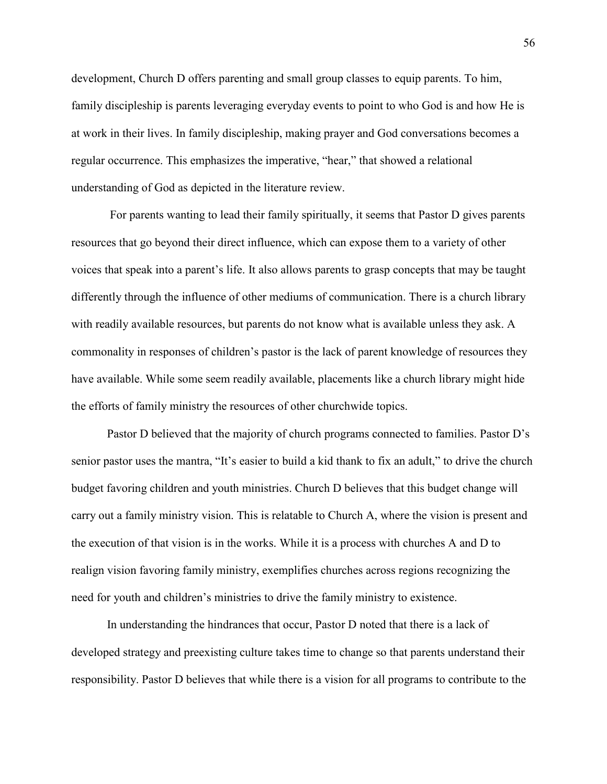development, Church D offers parenting and small group classes to equip parents. To him, family discipleship is parents leveraging everyday events to point to who God is and how He is at work in their lives. In family discipleship, making prayer and God conversations becomes a regular occurrence. This emphasizes the imperative, "hear," that showed a relational understanding of God as depicted in the literature review.

For parents wanting to lead their family spiritually, it seems that Pastor D gives parents resources that go beyond their direct influence, which can expose them to a variety of other voices that speak into a parent's life. It also allows parents to grasp concepts that may be taught differently through the influence of other mediums of communication. There is a church library with readily available resources, but parents do not know what is available unless they ask. A commonality in responses of children's pastor is the lack of parent knowledge of resources they have available. While some seem readily available, placements like a church library might hide the efforts of family ministry the resources of other churchwide topics.

Pastor D believed that the majority of church programs connected to families. Pastor D's senior pastor uses the mantra, "It's easier to build a kid thank to fix an adult," to drive the church budget favoring children and youth ministries. Church D believes that this budget change will carry out a family ministry vision. This is relatable to Church A, where the vision is present and the execution of that vision is in the works. While it is a process with churches A and D to realign vision favoring family ministry, exemplifies churches across regions recognizing the need for youth and children's ministries to drive the family ministry to existence.

In understanding the hindrances that occur, Pastor D noted that there is a lack of developed strategy and preexisting culture takes time to change so that parents understand their responsibility. Pastor D believes that while there is a vision for all programs to contribute to the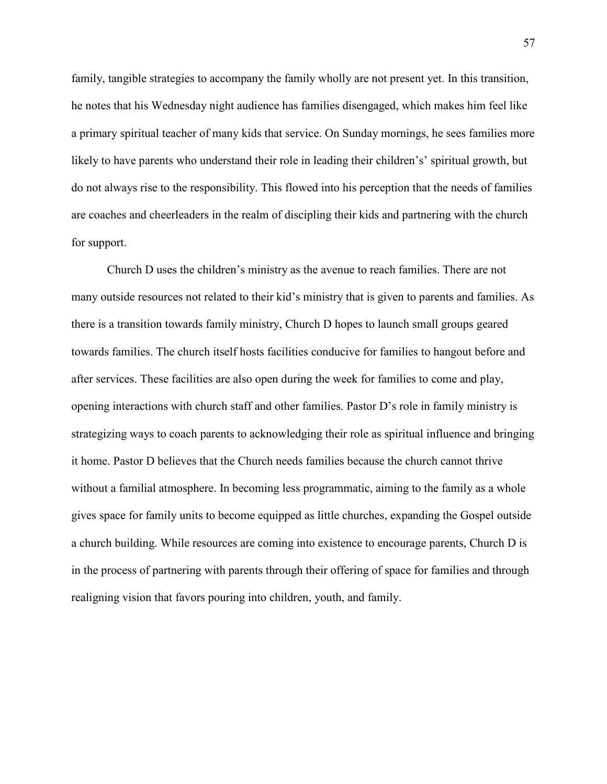family, tangible strategies to accompany the family wholly are not present yet. In this transition, he notes that his Wednesday night audience has families disengaged, which makes him feel like a primary spiritual teacher of many kids that service. On Sunday mornings, he sees families more likely to have parents who understand their role in leading their children's' spiritual growth, but do not always rise to the responsibility. This flowed into his perception that the needs of families are coaches and cheerleaders in the realm of discipling their kids and partnering with the church for support.

Church D uses the children's ministry as the avenue to reach families. There are not many outside resources not related to their kid's ministry that is given to parents and families. As there is a transition towards family ministry, Church D hopes to launch small groups geared towards families. The church itself hosts facilities conducive for families to hangout before and after services. These facilities are also open during the week for families to come and play, opening interactions with church staff and other families. Pastor D's role in family ministry is strategizing ways to coach parents to acknowledging their role as spiritual influence and bringing it home. Pastor D believes that the Church needs families because the church cannot thrive without a familial atmosphere. In becoming less programmatic, aiming to the family as a whole gives space for family units to become equipped as little churches, expanding the Gospel outside a church building. While resources are coming into existence to encourage parents, Church D is in the process of partnering with parents through their offering of space for families and through realigning vision that favors pouring into children, youth, and family.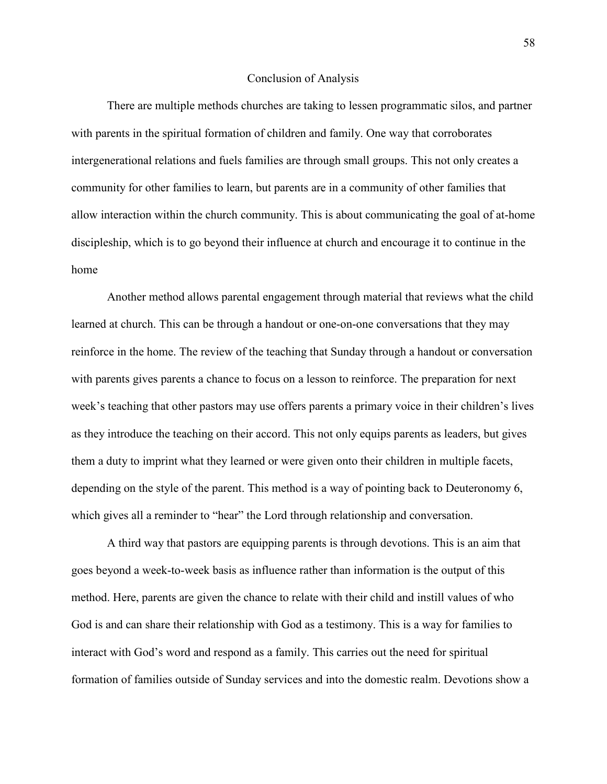# Conclusion of Analysis

There are multiple methods churches are taking to lessen programmatic silos, and partner with parents in the spiritual formation of children and family. One way that corroborates intergenerational relations and fuels families are through small groups. This not only creates a community for other families to learn, but parents are in a community of other families that allow interaction within the church community. This is about communicating the goal of at-home discipleship, which is to go beyond their influence at church and encourage it to continue in the home

Another method allows parental engagement through material that reviews what the child learned at church. This can be through a handout or one-on-one conversations that they may reinforce in the home. The review of the teaching that Sunday through a handout or conversation with parents gives parents a chance to focus on a lesson to reinforce. The preparation for next week's teaching that other pastors may use offers parents a primary voice in their children's lives as they introduce the teaching on their accord. This not only equips parents as leaders, but gives them a duty to imprint what they learned or were given onto their children in multiple facets, depending on the style of the parent. This method is a way of pointing back to Deuteronomy 6, which gives all a reminder to "hear" the Lord through relationship and conversation.

A third way that pastors are equipping parents is through devotions. This is an aim that goes beyond a week-to-week basis as influence rather than information is the output of this method. Here, parents are given the chance to relate with their child and instill values of who God is and can share their relationship with God as a testimony. This is a way for families to interact with God's word and respond as a family. This carries out the need for spiritual formation of families outside of Sunday services and into the domestic realm. Devotions show a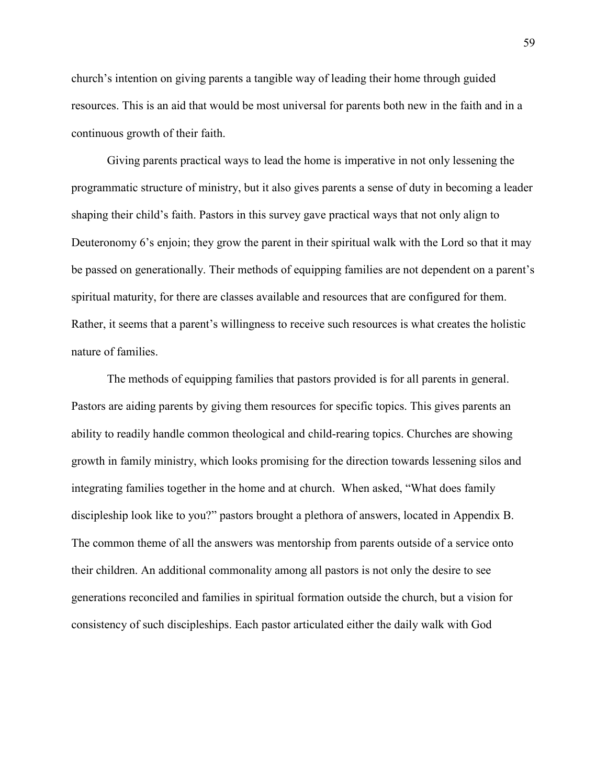church's intention on giving parents a tangible way of leading their home through guided resources. This is an aid that would be most universal for parents both new in the faith and in a continuous growth of their faith.

Giving parents practical ways to lead the home is imperative in not only lessening the programmatic structure of ministry, but it also gives parents a sense of duty in becoming a leader shaping their child's faith. Pastors in this survey gave practical ways that not only align to Deuteronomy 6's enjoin; they grow the parent in their spiritual walk with the Lord so that it may be passed on generationally. Their methods of equipping families are not dependent on a parent's spiritual maturity, for there are classes available and resources that are configured for them. Rather, it seems that a parent's willingness to receive such resources is what creates the holistic nature of families.

The methods of equipping families that pastors provided is for all parents in general. Pastors are aiding parents by giving them resources for specific topics. This gives parents an ability to readily handle common theological and child-rearing topics. Churches are showing growth in family ministry, which looks promising for the direction towards lessening silos and integrating families together in the home and at church. When asked, "What does family discipleship look like to you?" pastors brought a plethora of answers, located in Appendix B. The common theme of all the answers was mentorship from parents outside of a service onto their children. An additional commonality among all pastors is not only the desire to see generations reconciled and families in spiritual formation outside the church, but a vision for consistency of such discipleships. Each pastor articulated either the daily walk with God

59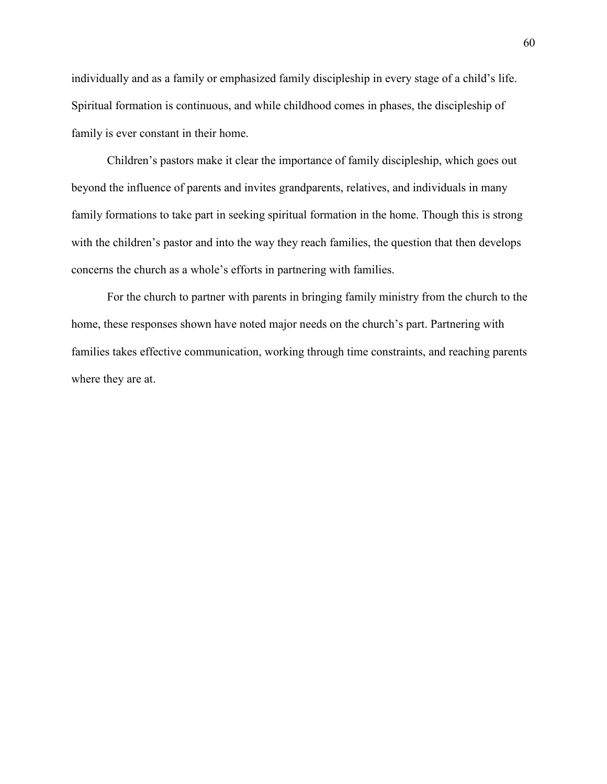individually and as a family or emphasized family discipleship in every stage of a child's life. Spiritual formation is continuous, and while childhood comes in phases, the discipleship of family is ever constant in their home.

Children's pastors make it clear the importance of family discipleship, which goes out beyond the influence of parents and invites grandparents, relatives, and individuals in many family formations to take part in seeking spiritual formation in the home. Though this is strong with the children's pastor and into the way they reach families, the question that then develops concerns the church as a whole's efforts in partnering with families.

For the church to partner with parents in bringing family ministry from the church to the home, these responses shown have noted major needs on the church's part. Partnering with families takes effective communication, working through time constraints, and reaching parents where they are at.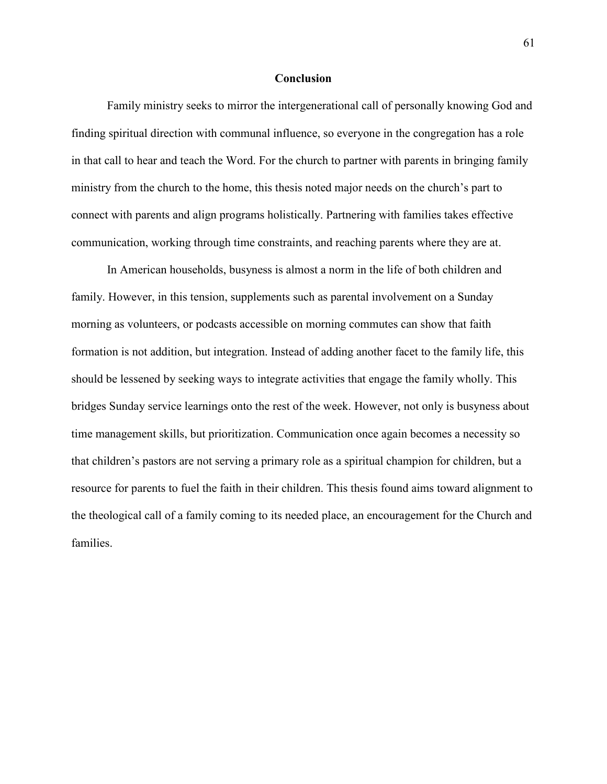#### **Conclusion**

Family ministry seeks to mirror the intergenerational call of personally knowing God and finding spiritual direction with communal influence, so everyone in the congregation has a role in that call to hear and teach the Word. For the church to partner with parents in bringing family ministry from the church to the home, this thesis noted major needs on the church's part to connect with parents and align programs holistically. Partnering with families takes effective communication, working through time constraints, and reaching parents where they are at.

In American households, busyness is almost a norm in the life of both children and family. However, in this tension, supplements such as parental involvement on a Sunday morning as volunteers, or podcasts accessible on morning commutes can show that faith formation is not addition, but integration. Instead of adding another facet to the family life, this should be lessened by seeking ways to integrate activities that engage the family wholly. This bridges Sunday service learnings onto the rest of the week. However, not only is busyness about time management skills, but prioritization. Communication once again becomes a necessity so that children's pastors are not serving a primary role as a spiritual champion for children, but a resource for parents to fuel the faith in their children. This thesis found aims toward alignment to the theological call of a family coming to its needed place, an encouragement for the Church and families.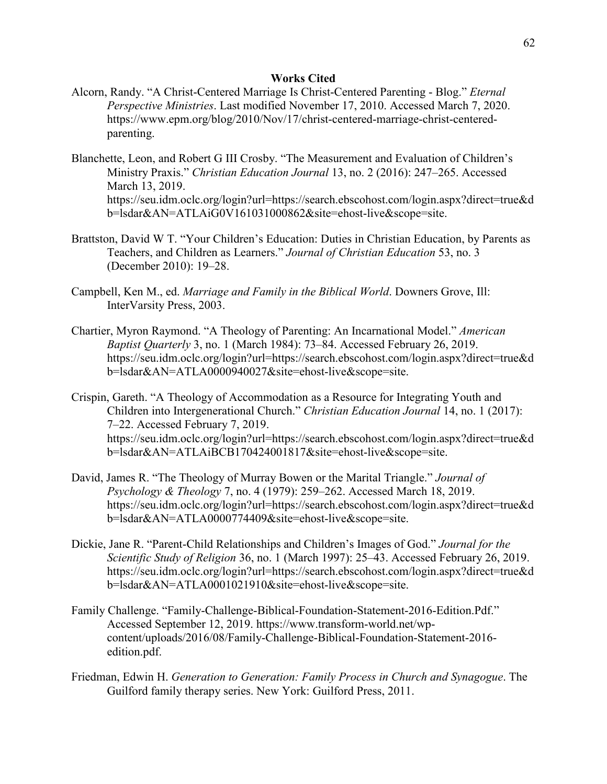# **Works Cited**

- Alcorn, Randy. "A Christ-Centered Marriage Is Christ-Centered Parenting Blog." *Eternal Perspective Ministries*. Last modified November 17, 2010. Accessed March 7, 2020. https://www.epm.org/blog/2010/Nov/17/christ-centered-marriage-christ-centeredparenting.
- Blanchette, Leon, and Robert G III Crosby. "The Measurement and Evaluation of Children's Ministry Praxis." *Christian Education Journal* 13, no. 2 (2016): 247–265. Accessed March 13, 2019. https://seu.idm.oclc.org/login?url=https://search.ebscohost.com/login.aspx?direct=true&d b=lsdar&AN=ATLAiG0V161031000862&site=ehost-live&scope=site.
- Brattston, David W T. "Your Children's Education: Duties in Christian Education, by Parents as Teachers, and Children as Learners." *Journal of Christian Education* 53, no. 3 (December 2010): 19–28.
- Campbell, Ken M., ed. *Marriage and Family in the Biblical World*. Downers Grove, Ill: InterVarsity Press, 2003.
- Chartier, Myron Raymond. "A Theology of Parenting: An Incarnational Model." *American Baptist Quarterly* 3, no. 1 (March 1984): 73–84. Accessed February 26, 2019. https://seu.idm.oclc.org/login?url=https://search.ebscohost.com/login.aspx?direct=true&d b=lsdar&AN=ATLA0000940027&site=ehost-live&scope=site.
- Crispin, Gareth. "A Theology of Accommodation as a Resource for Integrating Youth and Children into Intergenerational Church." *Christian Education Journal* 14, no. 1 (2017): 7–22. Accessed February 7, 2019. https://seu.idm.oclc.org/login?url=https://search.ebscohost.com/login.aspx?direct=true&d b=lsdar&AN=ATLAiBCB170424001817&site=ehost-live&scope=site.
- David, James R. "The Theology of Murray Bowen or the Marital Triangle." *Journal of Psychology & Theology* 7, no. 4 (1979): 259–262. Accessed March 18, 2019. https://seu.idm.oclc.org/login?url=https://search.ebscohost.com/login.aspx?direct=true&d b=lsdar&AN=ATLA0000774409&site=ehost-live&scope=site.
- Dickie, Jane R. "Parent-Child Relationships and Children's Images of God." *Journal for the Scientific Study of Religion* 36, no. 1 (March 1997): 25–43. Accessed February 26, 2019. https://seu.idm.oclc.org/login?url=https://search.ebscohost.com/login.aspx?direct=true&d b=lsdar&AN=ATLA0001021910&site=ehost-live&scope=site.
- Family Challenge. "Family-Challenge-Biblical-Foundation-Statement-2016-Edition.Pdf." Accessed September 12, 2019. https://www.transform-world.net/wpcontent/uploads/2016/08/Family-Challenge-Biblical-Foundation-Statement-2016 edition.pdf.
- Friedman, Edwin H. *Generation to Generation: Family Process in Church and Synagogue*. The Guilford family therapy series. New York: Guilford Press, 2011.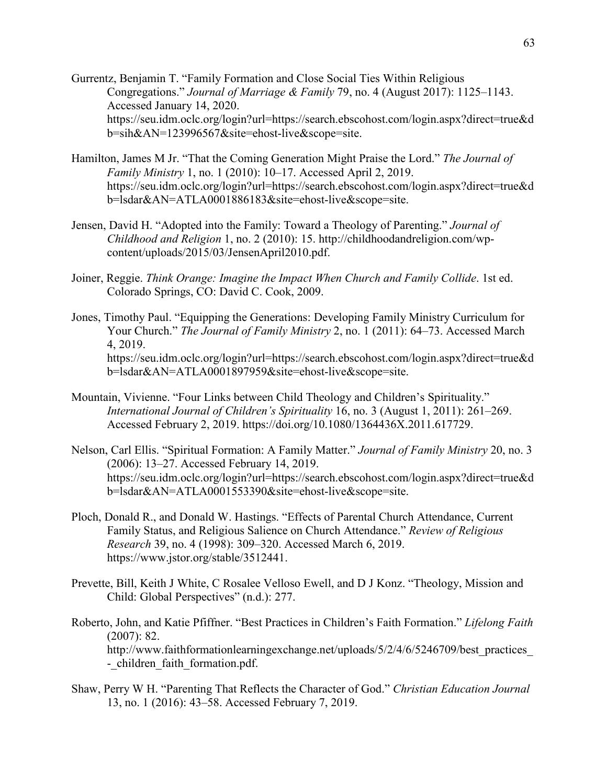- Gurrentz, Benjamin T. "Family Formation and Close Social Ties Within Religious Congregations." *Journal of Marriage & Family* 79, no. 4 (August 2017): 1125–1143. Accessed January 14, 2020. https://seu.idm.oclc.org/login?url=https://search.ebscohost.com/login.aspx?direct=true&d b=sih&AN=123996567&site=ehost-live&scope=site.
- Hamilton, James M Jr. "That the Coming Generation Might Praise the Lord." *The Journal of Family Ministry* 1, no. 1 (2010): 10–17. Accessed April 2, 2019. https://seu.idm.oclc.org/login?url=https://search.ebscohost.com/login.aspx?direct=true&d b=lsdar&AN=ATLA0001886183&site=ehost-live&scope=site.
- Jensen, David H. "Adopted into the Family: Toward a Theology of Parenting." *Journal of Childhood and Religion* 1, no. 2 (2010): 15. http://childhoodandreligion.com/wpcontent/uploads/2015/03/JensenApril2010.pdf.
- Joiner, Reggie. *Think Orange: Imagine the Impact When Church and Family Collide*. 1st ed. Colorado Springs, CO: David C. Cook, 2009.
- Jones, Timothy Paul. "Equipping the Generations: Developing Family Ministry Curriculum for Your Church." *The Journal of Family Ministry* 2, no. 1 (2011): 64–73. Accessed March 4, 2019. https://seu.idm.oclc.org/login?url=https://search.ebscohost.com/login.aspx?direct=true&d b=lsdar&AN=ATLA0001897959&site=ehost-live&scope=site.
- Mountain, Vivienne. "Four Links between Child Theology and Children's Spirituality." *International Journal of Children's Spirituality* 16, no. 3 (August 1, 2011): 261–269. Accessed February 2, 2019. https://doi.org/10.1080/1364436X.2011.617729.
- Nelson, Carl Ellis. "Spiritual Formation: A Family Matter." *Journal of Family Ministry* 20, no. 3 (2006): 13–27. Accessed February 14, 2019. https://seu.idm.oclc.org/login?url=https://search.ebscohost.com/login.aspx?direct=true&d b=lsdar&AN=ATLA0001553390&site=ehost-live&scope=site.
- Ploch, Donald R., and Donald W. Hastings. "Effects of Parental Church Attendance, Current Family Status, and Religious Salience on Church Attendance." *Review of Religious Research* 39, no. 4 (1998): 309–320. Accessed March 6, 2019. https://www.jstor.org/stable/3512441.
- Prevette, Bill, Keith J White, C Rosalee Velloso Ewell, and D J Konz. "Theology, Mission and Child: Global Perspectives" (n.d.): 277.
- Roberto, John, and Katie Pfiffner. "Best Practices in Children's Faith Formation." *Lifelong Faith* (2007): 82. http://www.faithformationlearningexchange.net/uploads/5/2/4/6/5246709/best\_practices\_ - children faith formation.pdf.
- Shaw, Perry W H. "Parenting That Reflects the Character of God." *Christian Education Journal* 13, no. 1 (2016): 43–58. Accessed February 7, 2019.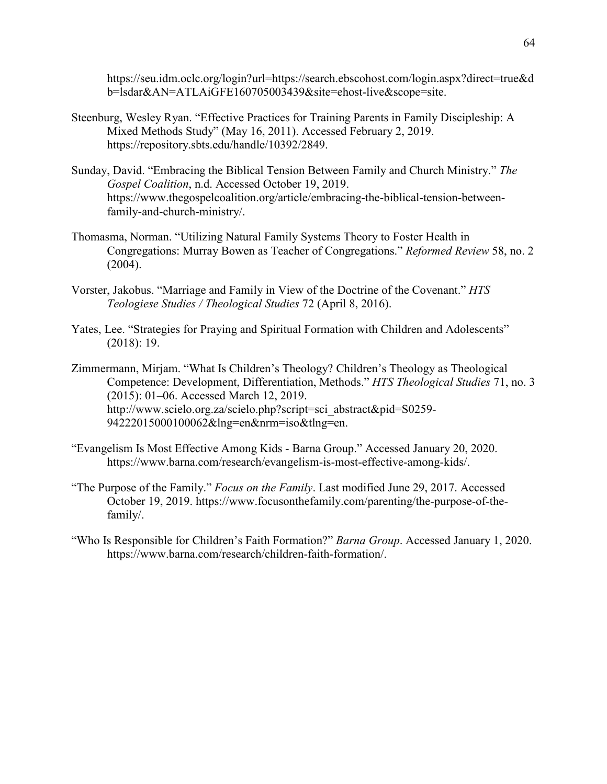https://seu.idm.oclc.org/login?url=https://search.ebscohost.com/login.aspx?direct=true&d b=lsdar&AN=ATLAiGFE160705003439&site=ehost-live&scope=site.

- Steenburg, Wesley Ryan. "Effective Practices for Training Parents in Family Discipleship: A Mixed Methods Study" (May 16, 2011). Accessed February 2, 2019. https://repository.sbts.edu/handle/10392/2849.
- Sunday, David. "Embracing the Biblical Tension Between Family and Church Ministry." *The Gospel Coalition*, n.d. Accessed October 19, 2019. https://www.thegospelcoalition.org/article/embracing-the-biblical-tension-betweenfamily-and-church-ministry/.
- Thomasma, Norman. "Utilizing Natural Family Systems Theory to Foster Health in Congregations: Murray Bowen as Teacher of Congregations." *Reformed Review* 58, no. 2 (2004).
- Vorster, Jakobus. "Marriage and Family in View of the Doctrine of the Covenant." *HTS Teologiese Studies / Theological Studies* 72 (April 8, 2016).
- Yates, Lee. "Strategies for Praying and Spiritual Formation with Children and Adolescents" (2018): 19.
- Zimmermann, Mirjam. "What Is Children's Theology? Children's Theology as Theological Competence: Development, Differentiation, Methods." *HTS Theological Studies* 71, no. 3 (2015): 01–06. Accessed March 12, 2019. http://www.scielo.org.za/scielo.php?script=sci\_abstract&pid=S0259- 94222015000100062&lng=en&nrm=iso&tlng=en.
- "Evangelism Is Most Effective Among Kids Barna Group." Accessed January 20, 2020. https://www.barna.com/research/evangelism-is-most-effective-among-kids/.
- "The Purpose of the Family." *Focus on the Family*. Last modified June 29, 2017. Accessed October 19, 2019. https://www.focusonthefamily.com/parenting/the-purpose-of-thefamily/.
- "Who Is Responsible for Children's Faith Formation?" *Barna Group*. Accessed January 1, 2020. https://www.barna.com/research/children-faith-formation/.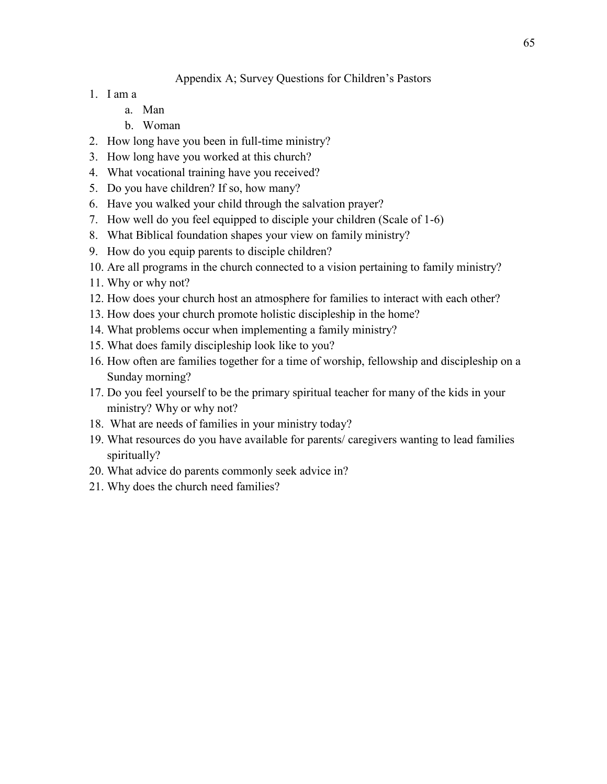# Appendix A; Survey Questions for Children's Pastors

- 1. I am a
	- a. Man
	- b. Woman
- 2. How long have you been in full-time ministry?
- 3. How long have you worked at this church?
- 4. What vocational training have you received?
- 5. Do you have children? If so, how many?
- 6. Have you walked your child through the salvation prayer?
- 7. How well do you feel equipped to disciple your children (Scale of 1-6)
- 8. What Biblical foundation shapes your view on family ministry?
- 9. How do you equip parents to disciple children?
- 10. Are all programs in the church connected to a vision pertaining to family ministry?
- 11. Why or why not?
- 12. How does your church host an atmosphere for families to interact with each other?
- 13. How does your church promote holistic discipleship in the home?
- 14. What problems occur when implementing a family ministry?
- 15. What does family discipleship look like to you?
- 16. How often are families together for a time of worship, fellowship and discipleship on a Sunday morning?
- 17. Do you feel yourself to be the primary spiritual teacher for many of the kids in your ministry? Why or why not?
- 18. What are needs of families in your ministry today?
- 19. What resources do you have available for parents/ caregivers wanting to lead families spiritually?
- 20. What advice do parents commonly seek advice in?
- 21. Why does the church need families?